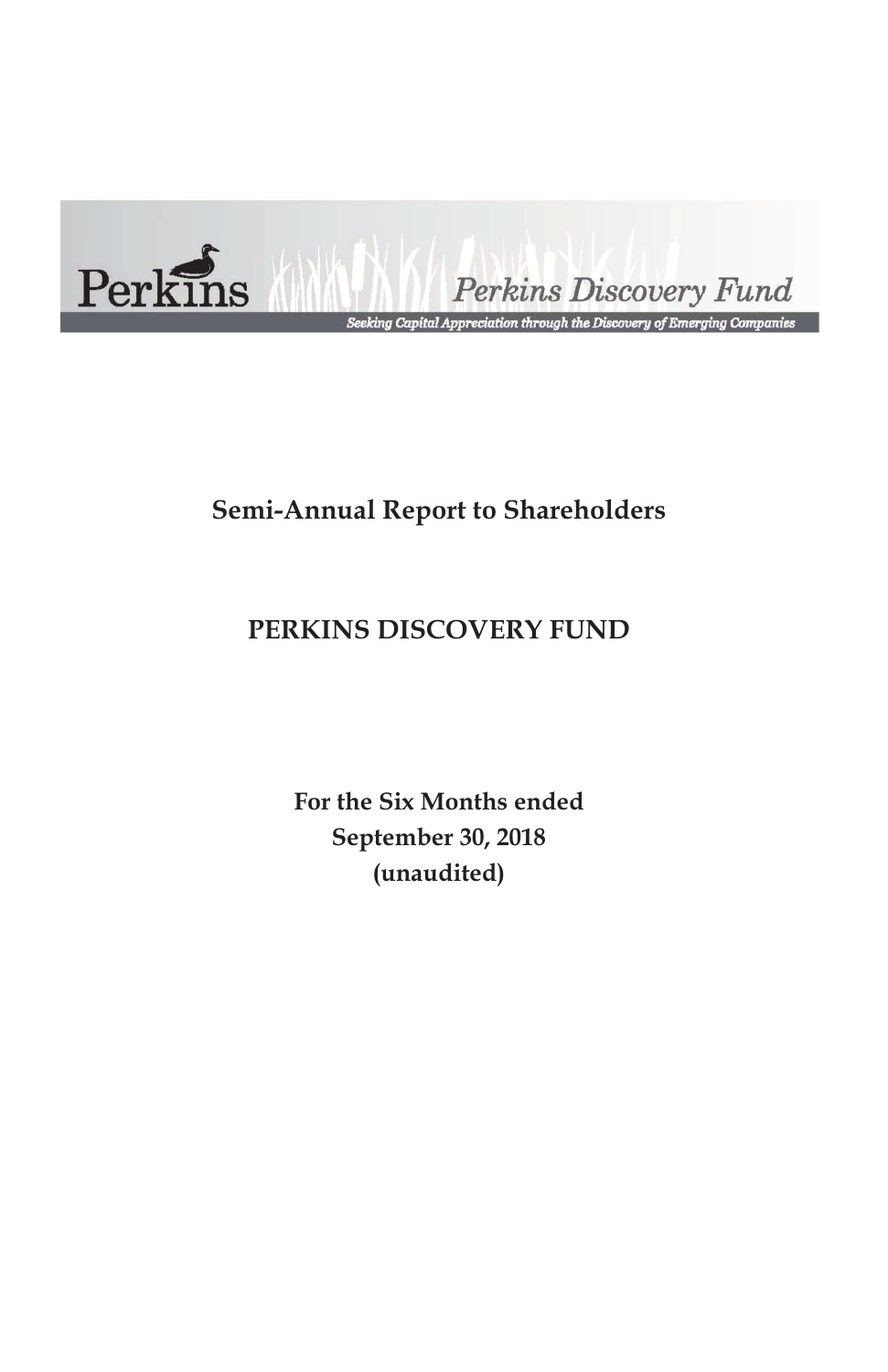

Perkins Discovery Fund

.<br>Seeking Capital Appreciation through the Discovery of Emerging Companies

# **Semi-Annual Report to Shareholders**

# **PERKINS DISCOVERY FUND**

**For the Six Months ended September 30, 2018 (unaudited)**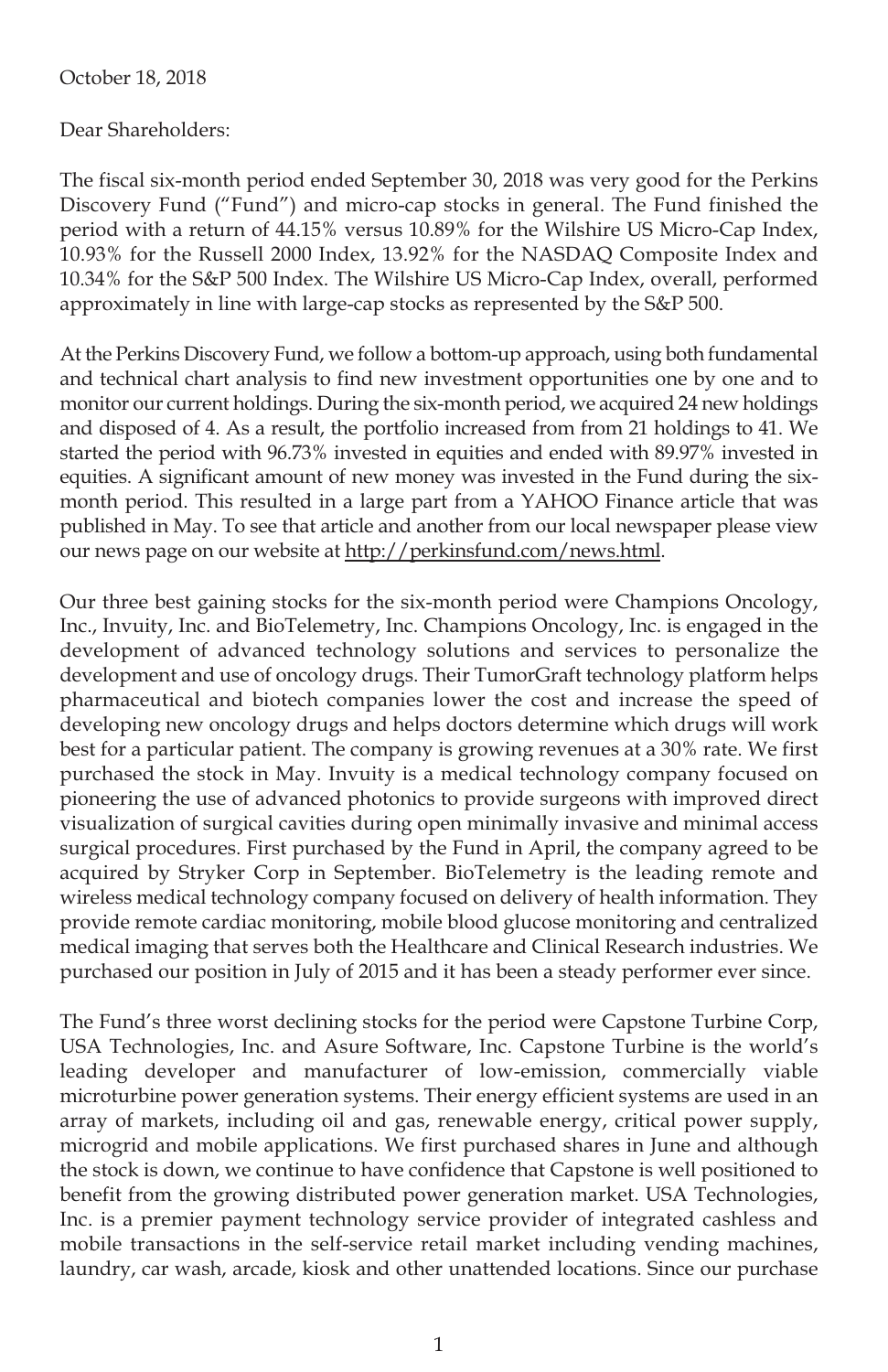#### October 18, 2018

Dear Shareholders:

The fiscal six-month period ended September 30, 2018 was very good for the Perkins Discovery Fund ("Fund") and micro-cap stocks in general. The Fund finished the period with a return of 44.15% versus 10.89% for the Wilshire US Micro-Cap Index, 10.93% for the Russell 2000 Index, 13.92% for the NASDAQ Composite Index and 10.34% for the S&P 500 Index. The Wilshire US Micro-Cap Index, overall, performed approximately in line with large-cap stocks as represented by the S&P 500.

At the Perkins Discovery Fund, we follow a bottom-up approach, using both fundamental and technical chart analysis to find new investment opportunities one by one and to monitor our current holdings. During the six-month period, we acquired 24 new holdings and disposed of 4. As a result, the portfolio increased from from 21 holdings to 41. We started the period with 96.73% invested in equities and ended with 89.97% invested in equities. A significant amount of new money was invested in the Fund during the sixmonth period. This resulted in a large part from a YAHOO Finance article that was published in May. To see that article and another from our local newspaper please view our news page on our website at http://perkinsfund.com/news.html.

Our three best gaining stocks for the six-month period were Champions Oncology, Inc., Invuity, Inc. and BioTelemetry, Inc. Champions Oncology, Inc. is engaged in the development of advanced technology solutions and services to personalize the development and use of oncology drugs. Their TumorGraft technology platform helps pharmaceutical and biotech companies lower the cost and increase the speed of developing new oncology drugs and helps doctors determine which drugs will work best for a particular patient. The company is growing revenues at a 30% rate. We first purchased the stock in May. Invuity is a medical technology company focused on pioneering the use of advanced photonics to provide surgeons with improved direct visualization of surgical cavities during open minimally invasive and minimal access surgical procedures. First purchased by the Fund in April, the company agreed to be acquired by Stryker Corp in September. BioTelemetry is the leading remote and wireless medical technology company focused on delivery of health information. They provide remote cardiac monitoring, mobile blood glucose monitoring and centralized medical imaging that serves both the Healthcare and Clinical Research industries. We purchased our position in July of 2015 and it has been a steady performer ever since.

The Fund's three worst declining stocks for the period were Capstone Turbine Corp, USA Technologies, Inc. and Asure Software, Inc. Capstone Turbine is the world's leading developer and manufacturer of low-emission, commercially viable microturbine power generation systems. Their energy efficient systems are used in an array of markets, including oil and gas, renewable energy, critical power supply, microgrid and mobile applications. We first purchased shares in June and although the stock is down, we continue to have confidence that Capstone is well positioned to benefit from the growing distributed power generation market. USA Technologies, Inc. is a premier payment technology service provider of integrated cashless and mobile transactions in the self-service retail market including vending machines, laundry, car wash, arcade, kiosk and other unattended locations. Since our purchase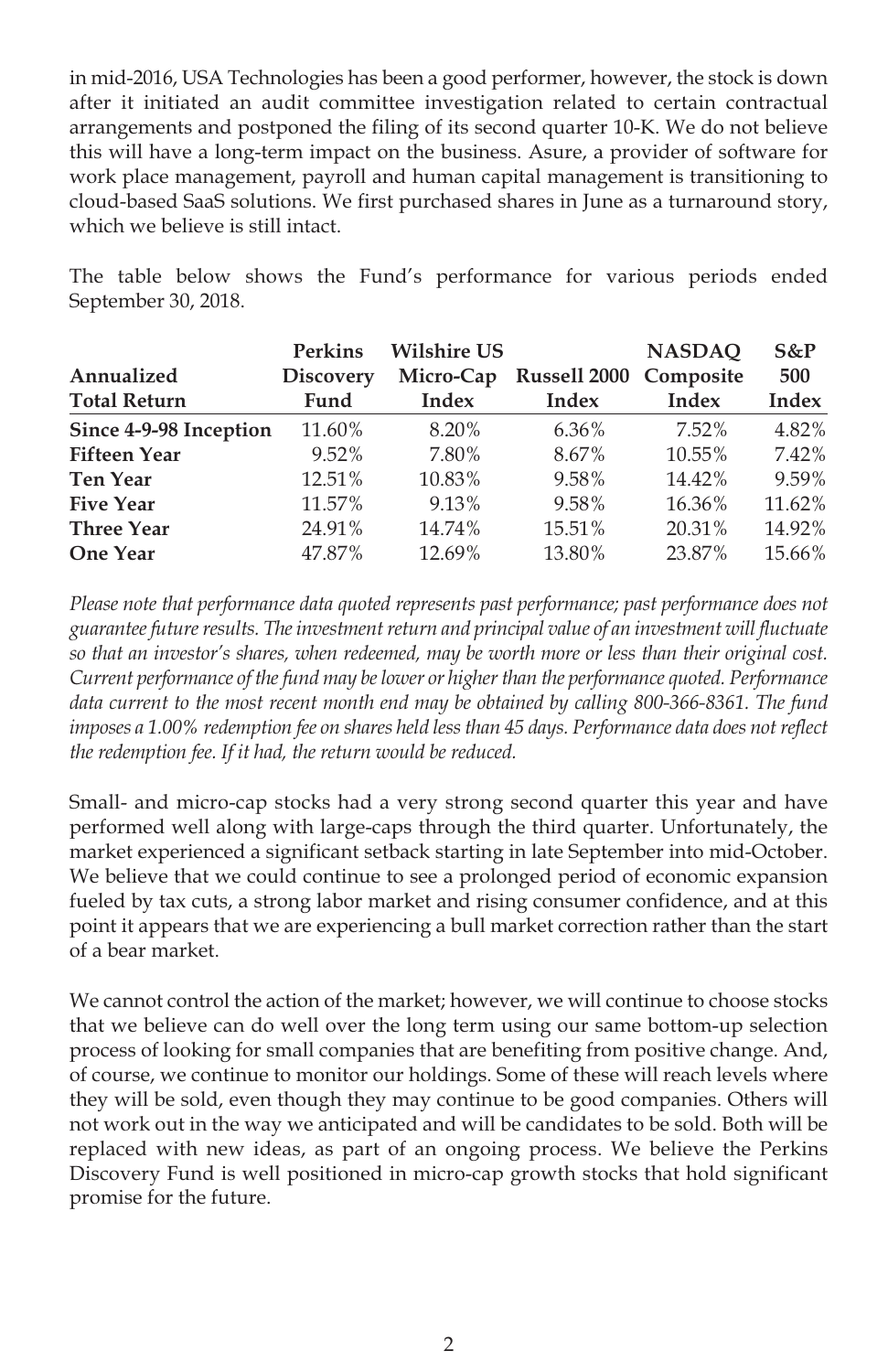in mid-2016, USA Technologies has been a good performer, however, the stock is down after it initiated an audit committee investigation related to certain contractual arrangements and postponed the filing of its second quarter 10-K. We do not believe this will have a long-term impact on the business. Asure, a provider of software for work place management, payroll and human capital management is transitioning to cloud-based SaaS solutions. We first purchased shares in June as a turnaround story, which we believe is still intact.

The table below shows the Fund's performance for various periods ended September 30, 2018.

|                        | <b>Perkins</b>   | <b>Wilshire US</b> |                                  | <b>NASDAO</b> | $S\&P$       |
|------------------------|------------------|--------------------|----------------------------------|---------------|--------------|
| Annualized             | <b>Discovery</b> |                    | Micro-Cap Russell 2000 Composite |               | 500          |
| <b>Total Return</b>    | Fund             | Index              | Index                            | Index         | <b>Index</b> |
| Since 4-9-98 Inception | 11.60%           | 8.20%              | 6.36%                            | $7.52\%$      | 4.82%        |
| <b>Fifteen Year</b>    | 9.52%            | 7.80%              | 8.67%                            | 10.55%        | 7.42%        |
| <b>Ten Year</b>        | 12.51%           | 10.83%             | 9.58%                            | 14.42%        | 9.59%        |
| <b>Five Year</b>       | 11.57%           | 9.13%              | 9.58%                            | 16.36%        | 11.62%       |
| <b>Three Year</b>      | 24.91%           | 14.74%             | 15.51%                           | 20.31%        | 14.92%       |
| <b>One Year</b>        | 47.87%           | 12.69%             | 13.80%                           | 23.87%        | 15.66%       |

*Please note that performance data quoted represents past performance; past performance does not guarantee future results. The investment return and principal value of an investment will fluctuate so that an investor's shares, when redeemed, may be worth more or less than their original cost. Current performance of the fund may be lower or higher than the performance quoted. Performance data current to the most recent month end may be obtained by calling 800-366-8361. The fund imposes a 1.00% redemption fee on shares held less than 45 days. Performance data does not reflect the redemption fee. If it had, the return would be reduced.*

Small- and micro-cap stocks had a very strong second quarter this year and have performed well along with large-caps through the third quarter. Unfortunately, the market experienced a significant setback starting in late September into mid-October. We believe that we could continue to see a prolonged period of economic expansion fueled by tax cuts, a strong labor market and rising consumer confidence, and at this point it appears that we are experiencing a bull market correction rather than the start of a bear market.

We cannot control the action of the market; however, we will continue to choose stocks that we believe can do well over the long term using our same bottom-up selection process of looking for small companies that are benefiting from positive change. And, of course, we continue to monitor our holdings. Some of these will reach levels where they will be sold, even though they may continue to be good companies. Others will not work out in the way we anticipated and will be candidates to be sold. Both will be replaced with new ideas, as part of an ongoing process. We believe the Perkins Discovery Fund is well positioned in micro-cap growth stocks that hold significant promise for the future.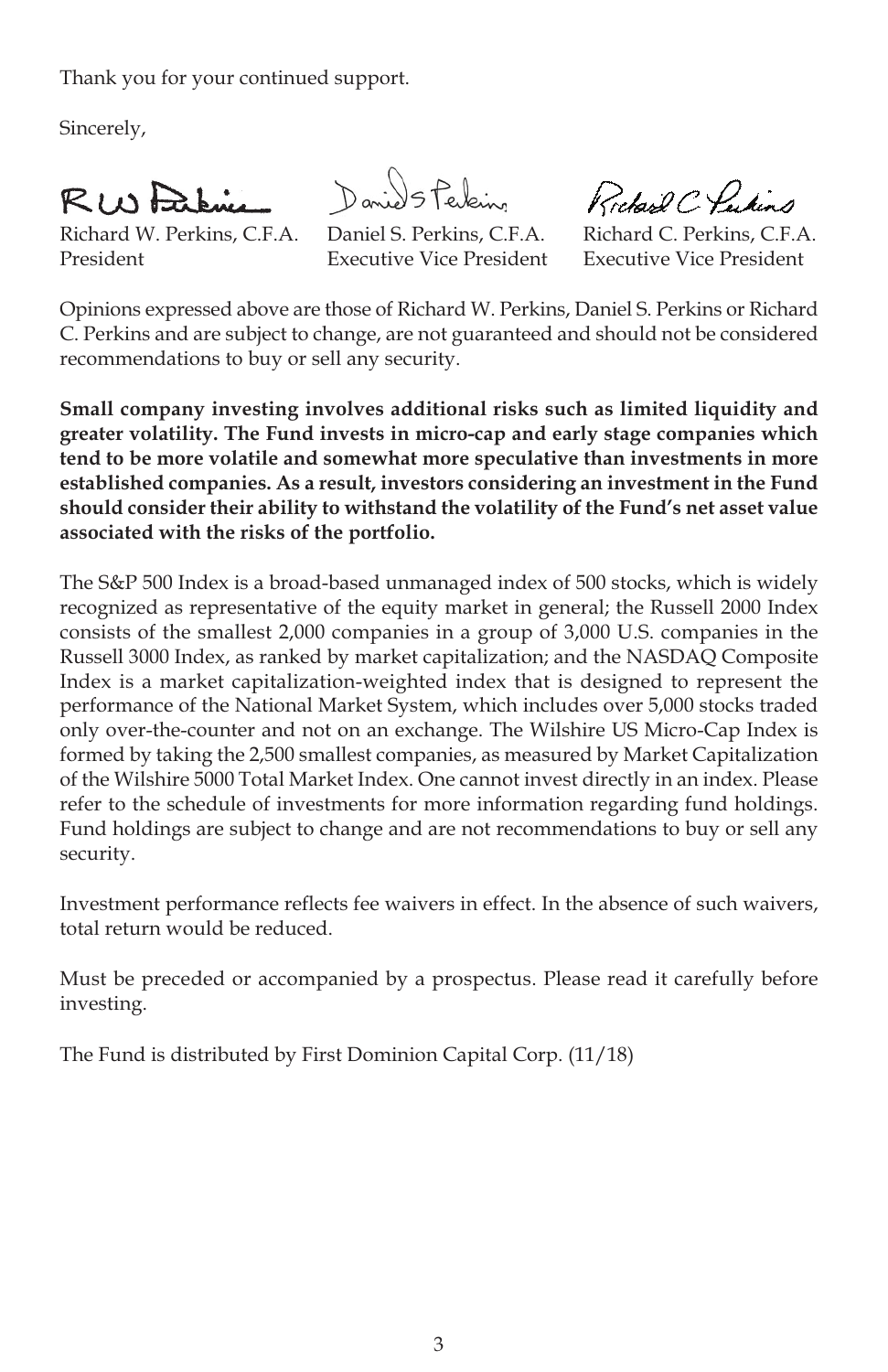Thank you for your continued support.

Sincerely,

RINFRENC

Richard W. Perkins, C.F.A. Daniel S. Perkins, C.F.A. Richard C. Perkins, C.F.A. President Executive Vice President Executive Vice President

Daniel 5 Perkins

Richard C. Pulins

Opinions expressed above are those of Richard W. Perkins, Daniel S. Perkins or Richard C. Perkins and are subject to change, are not guaranteed and should not be considered recommendations to buy or sell any security.

**Small company investing involves additional risks such as limited liquidity and greater volatility. The Fund invests in micro-cap and early stage companies which tend to be more volatile and somewhat more speculative than investments in more established companies. As a result, investors considering an investment in the Fund should consider their ability to withstand the volatility of the Fund's net asset value associated with the risks of the portfolio.**

The S&P 500 Index is a broad-based unmanaged index of 500 stocks, which is widely recognized as representative of the equity market in general; the Russell 2000 Index consists of the smallest 2,000 companies in a group of 3,000 U.S. companies in the Russell 3000 Index, as ranked by market capitalization; and the NASDAQ Composite Index is a market capitalization-weighted index that is designed to represent the performance of the National Market System, which includes over 5,000 stocks traded only over-the-counter and not on an exchange. The Wilshire US Micro-Cap Index is formed by taking the 2,500 smallest companies, as measured by Market Capitalization of the Wilshire 5000 Total Market Index. One cannot invest directly in an index. Please refer to the schedule of investments for more information regarding fund holdings. Fund holdings are subject to change and are not recommendations to buy or sell any security.

Investment performance reflects fee waivers in effect. In the absence of such waivers, total return would be reduced.

Must be preceded or accompanied by a prospectus. Please read it carefully before investing.

The Fund is distributed by First Dominion Capital Corp. (11/18)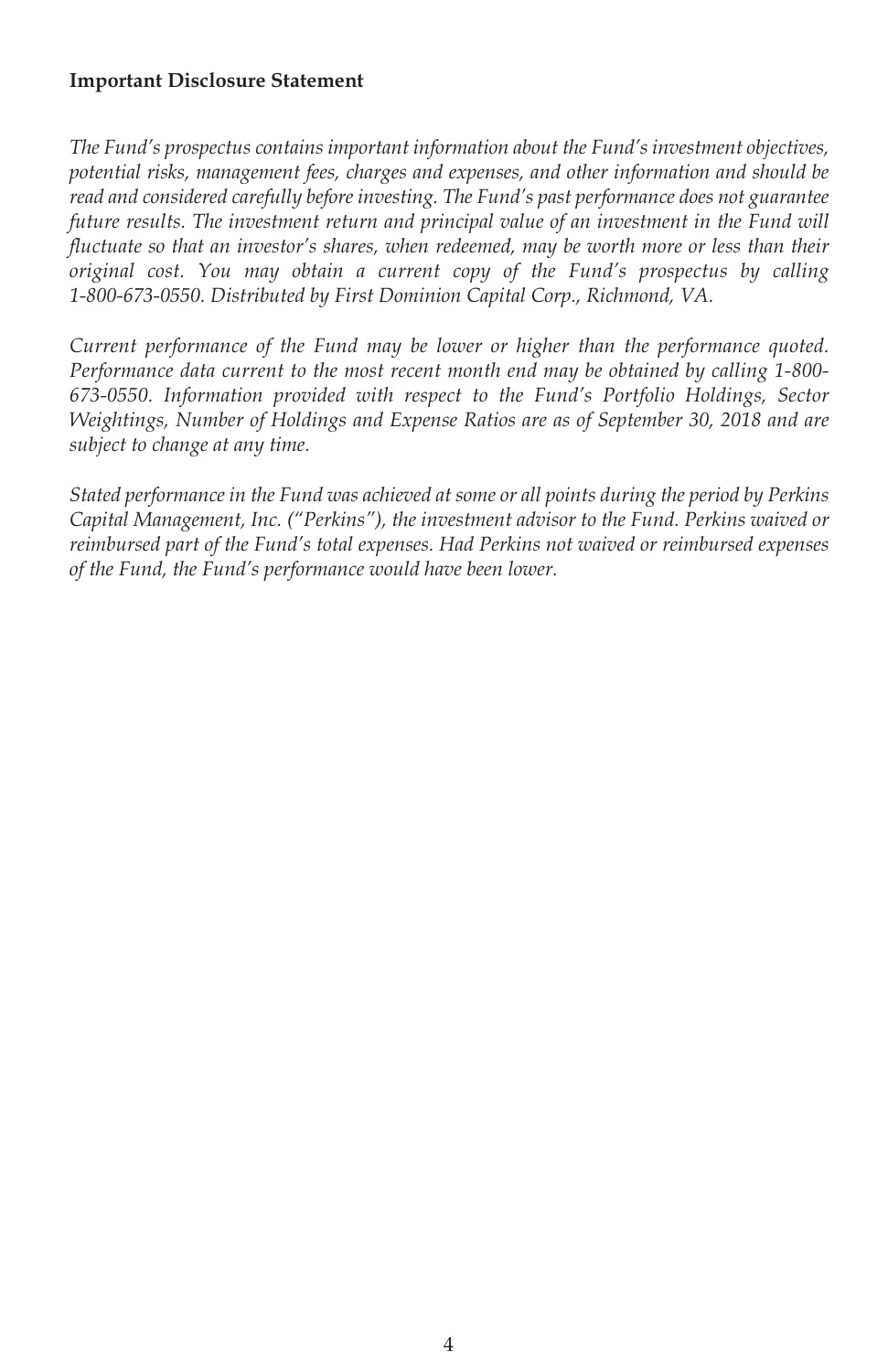#### **Important Disclosure Statement**

*The Fund's prospectus contains important information about the Fund's investment objectives, potential risks, management fees, charges and expenses, and other information and should be read and considered carefully before investing. The Fund's past performance does not guarantee future results. The investment return and principal value of an investment in the Fund will fluctuate so that an investor's shares, when redeemed, may be worth more or less than their original cost. You may obtain a current copy of the Fund's prospectus by calling 1-800-673-0550. Distributed by First Dominion Capital Corp., Richmond, VA.*

*Current performance of the Fund may be lower or higher than the performance quoted. Performance data current to the most recent month end may be obtained by calling 1-800- 673-0550. Information provided with respect to the Fund's Portfolio Holdings, Sector Weightings, Number of Holdings and Expense Ratios are as of September 30, 2018 and are subject to change at any time.*

*Stated performance in the Fund was achieved at some or all points during the period by Perkins Capital Management, Inc. ("Perkins"), the investment advisor to the Fund. Perkins waived or reimbursed part of the Fund's total expenses. Had Perkins not waived or reimbursed expenses of the Fund, the Fund's performance would have been lower.*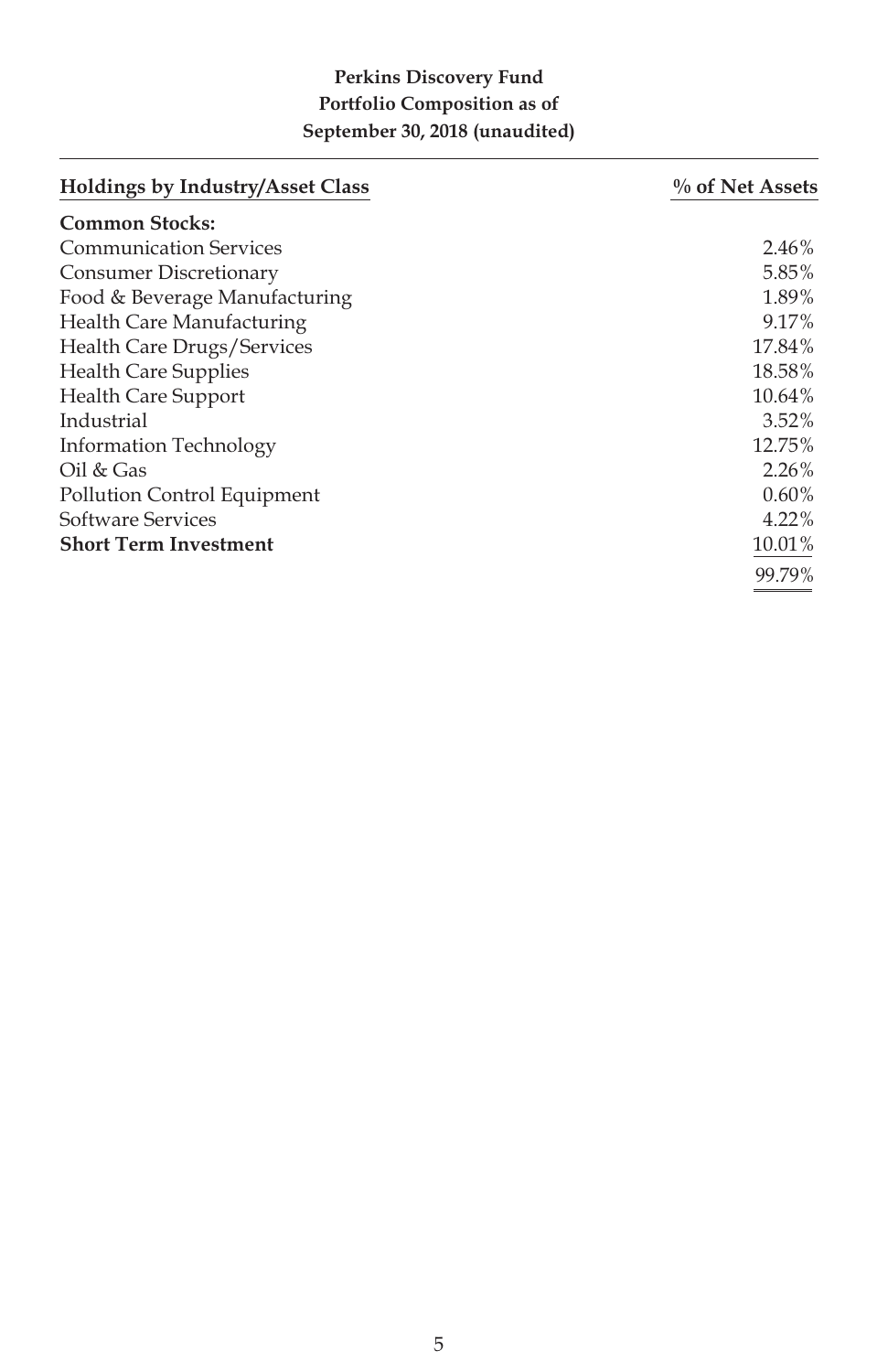## **Perkins Discovery Fund Portfolio Composition as of September 30, 2018 (unaudited)**

| <b>Holdings by Industry/Asset Class</b> | % of Net Assets |
|-----------------------------------------|-----------------|
| <b>Common Stocks:</b>                   |                 |
| <b>Communication Services</b>           | 2.46%           |
| Consumer Discretionary                  | 5.85%           |
| Food & Beverage Manufacturing           | 1.89%           |
| <b>Health Care Manufacturing</b>        | 9.17%           |
| Health Care Drugs/Services              | 17.84%          |
| <b>Health Care Supplies</b>             | 18.58%          |
| <b>Health Care Support</b>              | 10.64%          |
| Industrial                              | $3.52\%$        |
| Information Technology                  | 12.75%          |
| $Oil \& Gas$                            | $2.26\%$        |
| Pollution Control Equipment             | $0.60\%$        |
| Software Services                       | 4.22%           |
| <b>Short Term Investment</b>            | 10.01%          |
|                                         | 99.79%          |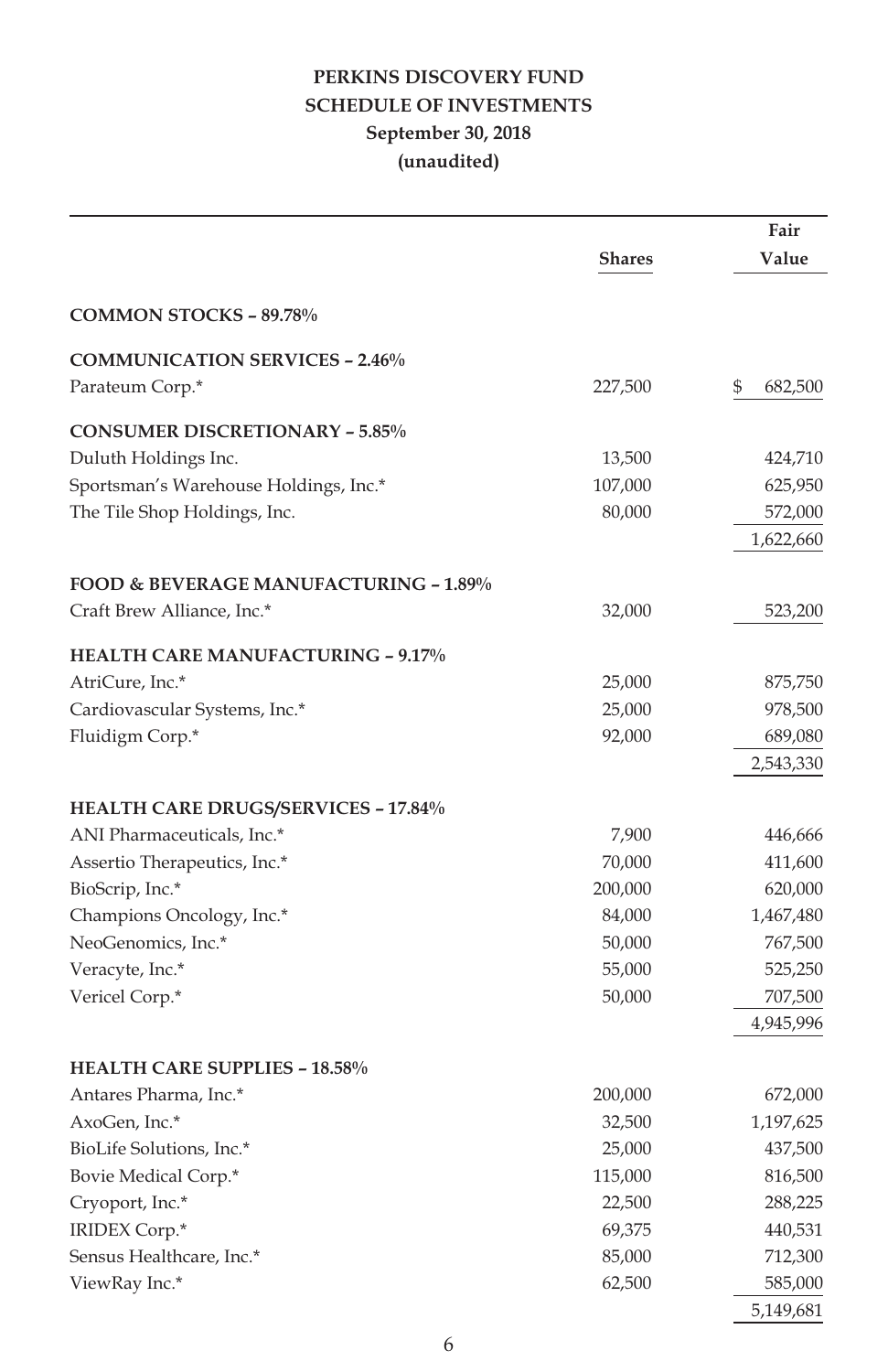## **PERKINS DISCOVERY FUND SCHEDULE OF INVESTMENTS September 30, 2018 (unaudited)**

|                                                  |         | Fair          |
|--------------------------------------------------|---------|---------------|
|                                                  | Shares  | Value         |
| <b>COMMON STOCKS - 89.78%</b>                    |         |               |
| <b>COMMUNICATION SERVICES - 2.46%</b>            |         |               |
| Parateum Corp.*                                  | 227,500 | \$<br>682,500 |
| <b>CONSUMER DISCRETIONARY - 5.85%</b>            |         |               |
| Duluth Holdings Inc.                             | 13,500  | 424,710       |
| Sportsman's Warehouse Holdings, Inc.*            | 107,000 | 625,950       |
| The Tile Shop Holdings, Inc.                     | 80,000  | 572,000       |
|                                                  |         | 1,622,660     |
| <b>FOOD &amp; BEVERAGE MANUFACTURING - 1.89%</b> |         |               |
| Craft Brew Alliance, Inc.*                       | 32,000  | 523,200       |
| <b>HEALTH CARE MANUFACTURING - 9.17%</b>         |         |               |
| AtriCure, Inc.*                                  | 25,000  | 875,750       |
| Cardiovascular Systems, Inc.*                    | 25,000  | 978,500       |
| Fluidigm Corp.*                                  | 92,000  | 689,080       |
|                                                  |         | 2,543,330     |
| <b>HEALTH CARE DRUGS/SERVICES - 17.84%</b>       |         |               |
| ANI Pharmaceuticals, Inc.*                       | 7,900   | 446,666       |
| Assertio Therapeutics, Inc.*                     | 70,000  | 411,600       |
| BioScrip, Inc.*                                  | 200,000 | 620,000       |
| Champions Oncology, Inc.*                        | 84,000  | 1,467,480     |
| NeoGenomics, Inc.*                               | 50,000  | 767,500       |
| Veracyte, Inc.*                                  | 55,000  | 525,250       |
| Vericel Corp.*                                   | 50,000  | 707,500       |
|                                                  |         | 4,945,996     |
| <b>HEALTH CARE SUPPLIES - 18.58%</b>             |         |               |
| Antares Pharma, Inc.*                            | 200,000 | 672,000       |
| AxoGen, Inc.*                                    | 32,500  | 1,197,625     |
| BioLife Solutions, Inc.*                         | 25,000  | 437,500       |
| Bovie Medical Corp.*                             | 115,000 | 816,500       |
| Cryoport, Inc.*                                  | 22,500  | 288,225       |
| IRIDEX Corp.*                                    | 69,375  | 440,531       |
| Sensus Healthcare, Inc.*                         | 85,000  | 712,300       |
| ViewRay Inc.*                                    | 62,500  | 585,000       |
|                                                  |         | 5,149,681     |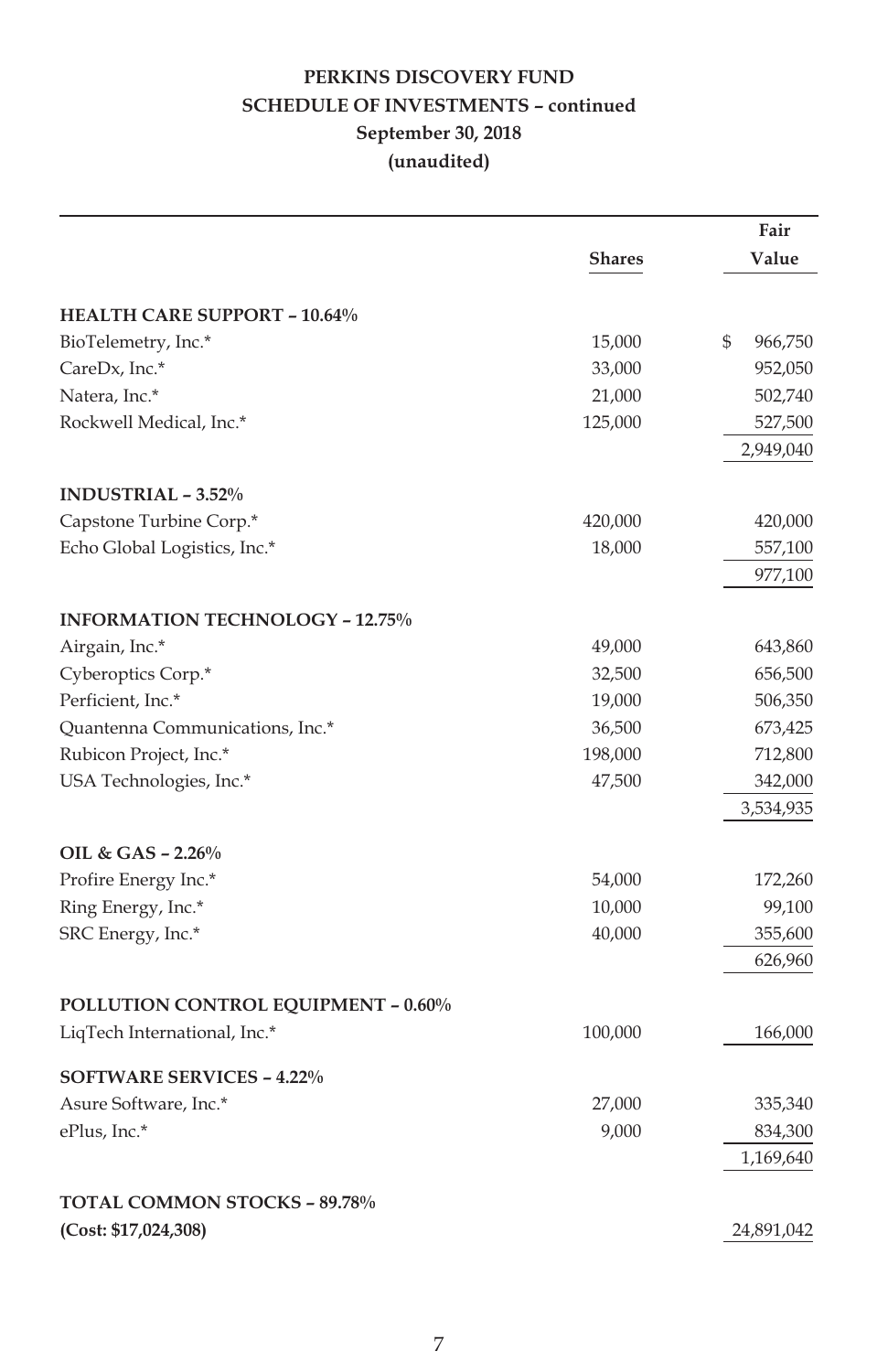## **PERKINS DISCOVERY FUND SCHEDULE OF INVESTMENTS – continued September 30, 2018 (unaudited)**

|                                            |               | Fair          |
|--------------------------------------------|---------------|---------------|
|                                            | <b>Shares</b> | Value         |
| <b>HEALTH CARE SUPPORT - 10.64%</b>        |               |               |
| BioTelemetry, Inc.*                        | 15,000        | \$<br>966,750 |
| CareDx, Inc.*                              | 33,000        | 952,050       |
| Natera, Inc.*                              | 21,000        | 502,740       |
| Rockwell Medical, Inc.*                    | 125,000       | 527,500       |
|                                            |               | 2,949,040     |
| <b>INDUSTRIAL - 3.52%</b>                  |               |               |
| Capstone Turbine Corp.*                    | 420,000       | 420,000       |
| Echo Global Logistics, Inc.*               | 18,000        | 557,100       |
|                                            |               | 977,100       |
| <b>INFORMATION TECHNOLOGY - 12.75%</b>     |               |               |
| Airgain, Inc.*                             | 49,000        | 643,860       |
| Cyberoptics Corp.*                         | 32,500        | 656,500       |
| Perficient, Inc.*                          | 19,000        | 506,350       |
| Quantenna Communications, Inc.*            | 36,500        | 673,425       |
| Rubicon Project, Inc.*                     | 198,000       | 712,800       |
| USA Technologies, Inc.*                    | 47,500        | 342,000       |
|                                            |               | 3,534,935     |
| OIL & GAS - 2.26%                          |               |               |
| Profire Energy Inc.*                       | 54,000        | 172,260       |
| Ring Energy, Inc.*                         | 10,000        | 99,100        |
| SRC Energy, Inc.*                          | 40,000        | 355,600       |
|                                            |               | 626,960       |
| <b>POLLUTION CONTROL EQUIPMENT - 0.60%</b> |               |               |
| LiqTech International, Inc.*               | 100,000       | 166,000       |
| <b>SOFTWARE SERVICES - 4.22%</b>           |               |               |
| Asure Software, Inc.*                      | 27,000        | 335,340       |
| ePlus, Inc.*                               | 9,000         | 834,300       |
|                                            |               | 1,169,640     |
| TOTAL COMMON STOCKS - 89.78%               |               |               |
| (Cost: \$17,024,308)                       |               | 24,891,042    |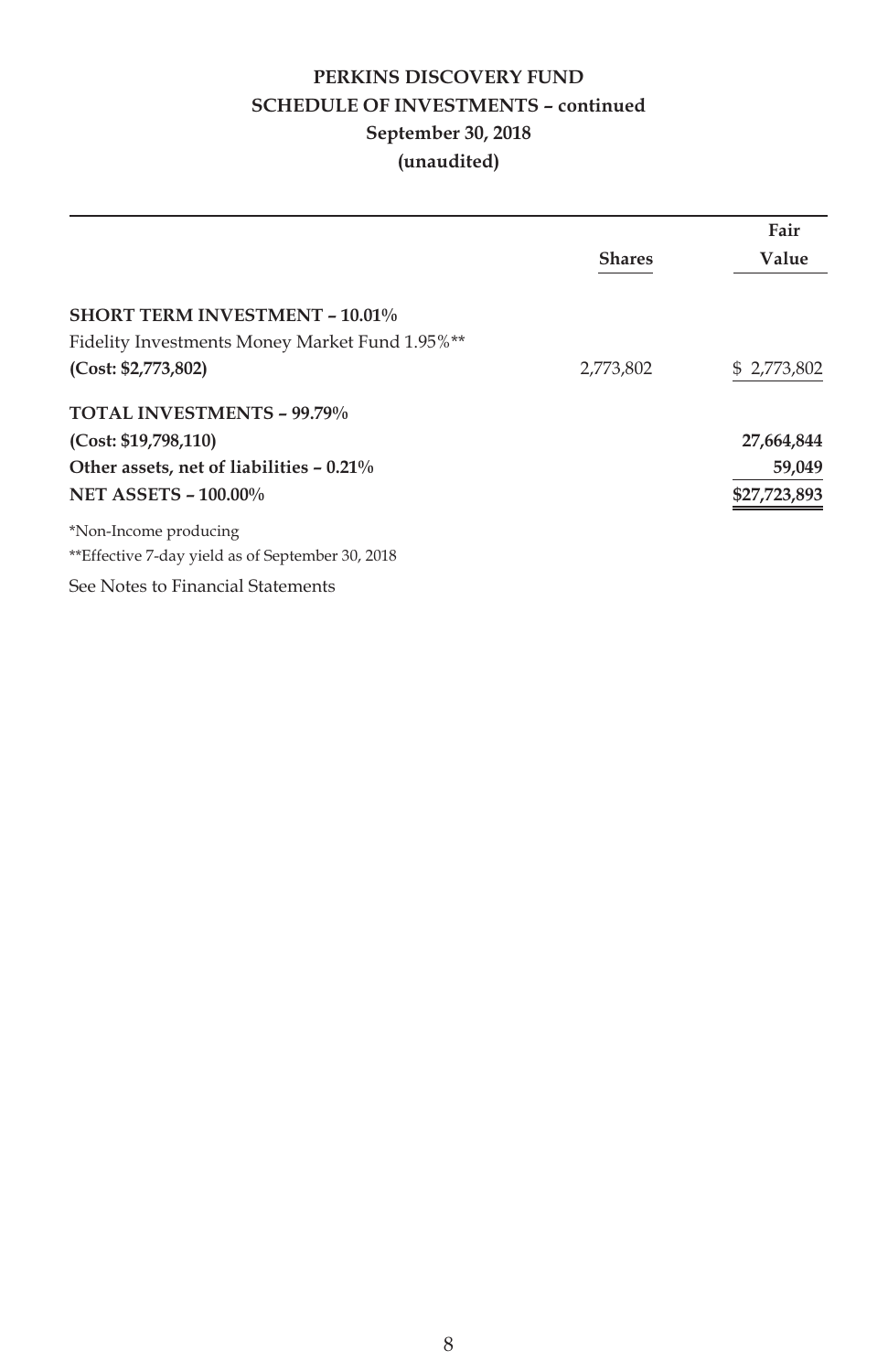## **PERKINS DISCOVERY FUND SCHEDULE OF INVESTMENTS – continued September 30, 2018 (unaudited)**

|                                                  |               | Fair         |
|--------------------------------------------------|---------------|--------------|
|                                                  | <b>Shares</b> | Value        |
|                                                  |               |              |
| <b>SHORT TERM INVESTMENT - 10.01%</b>            |               |              |
| Fidelity Investments Money Market Fund 1.95%**   |               |              |
| (Cost: \$2,773,802)                              | 2,773,802     | \$2,773,802  |
| <b>TOTAL INVESTMENTS - 99.79%</b>                |               |              |
| (Cost: \$19,798,110)                             |               | 27,664,844   |
| Other assets, net of liabilities – 0.21%         |               | 59,049       |
| <b>NET ASSETS - 100.00%</b>                      |               | \$27,723,893 |
| *Non-Income producing                            |               |              |
| **Effective 7-day yield as of September 30, 2018 |               |              |
| See Notes to Financial Statements                |               |              |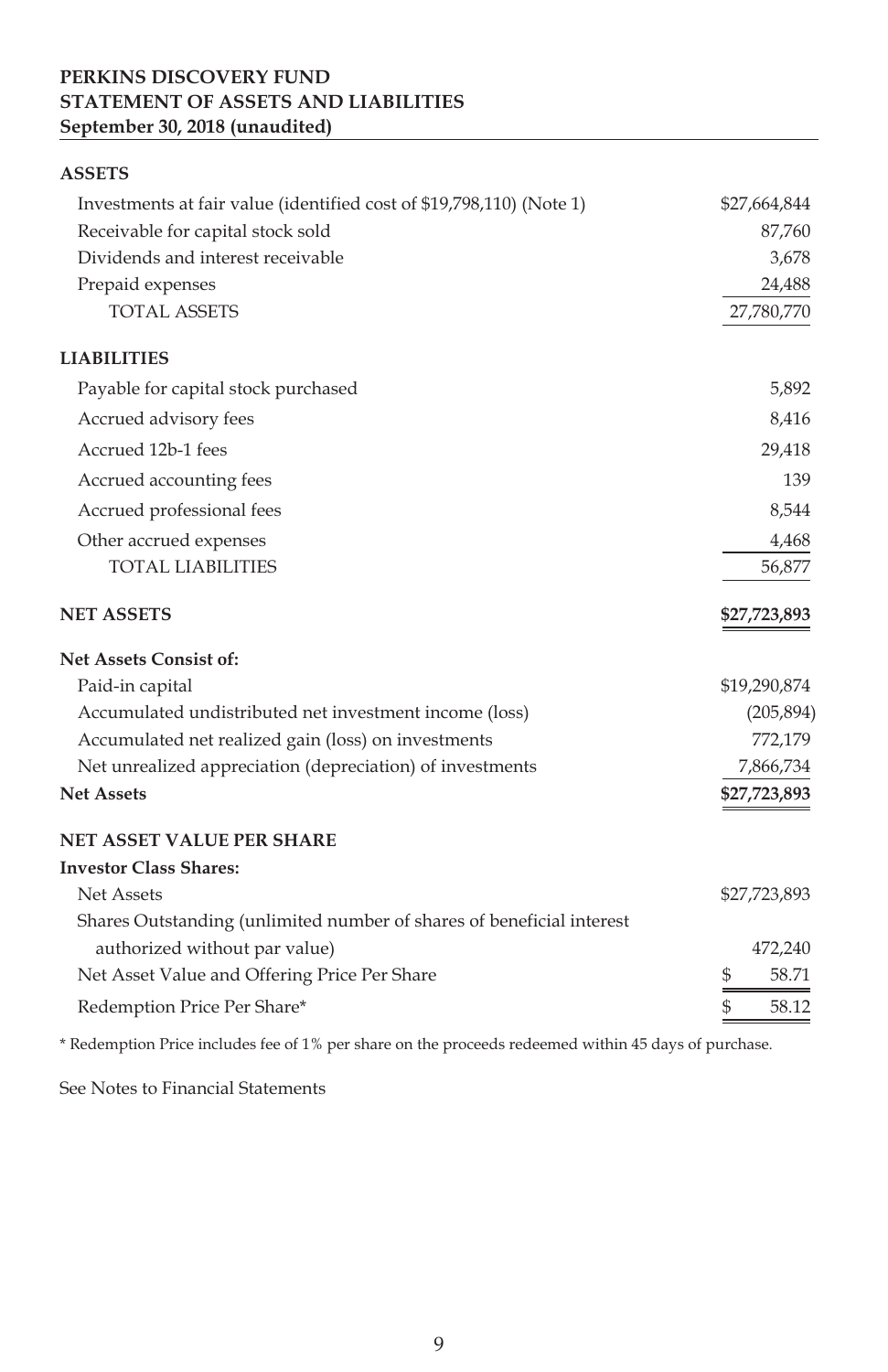## **PERKINS DISCOVERY FUND STATEMENT OF ASSETS AND LIABILITIES September 30, 2018 (unaudited)**

| <b>ASSETS</b>                                                         |                        |
|-----------------------------------------------------------------------|------------------------|
| Investments at fair value (identified cost of \$19,798,110) (Note 1)  | \$27,664,844           |
| Receivable for capital stock sold                                     | 87,760                 |
| Dividends and interest receivable                                     | 3,678                  |
| Prepaid expenses                                                      | 24,488                 |
| <b>TOTAL ASSETS</b>                                                   | 27,780,770             |
| <b>LIABILITIES</b>                                                    |                        |
| Payable for capital stock purchased                                   | 5,892                  |
| Accrued advisory fees                                                 | 8,416                  |
| Accrued 12b-1 fees                                                    | 29,418                 |
| Accrued accounting fees                                               | 139                    |
| Accrued professional fees                                             | 8,544                  |
| Other accrued expenses                                                | 4,468                  |
| <b>TOTAL LIABILITIES</b>                                              | 56,877                 |
| <b>NET ASSETS</b>                                                     | \$27,723,893           |
| <b>Net Assets Consist of:</b>                                         |                        |
| Paid-in capital                                                       | \$19,290,874           |
| Accumulated undistributed net investment income (loss)                | (205, 894)             |
| Accumulated net realized gain (loss) on investments                   | 772,179                |
| Net unrealized appreciation (depreciation) of investments             | 7,866,734              |
| <b>Net Assets</b>                                                     | \$27,723,893           |
| <b>NET ASSET VALUE PER SHARE</b>                                      |                        |
| <b>Investor Class Shares:</b>                                         |                        |
| <b>Net Assets</b>                                                     | \$27,723,893           |
| Shares Outstanding (unlimited number of shares of beneficial interest |                        |
| authorized without par value)                                         | 472,240                |
| Net Asset Value and Offering Price Per Share                          | 58.71<br>\$            |
| Redemption Price Per Share*                                           | $\mathcal{S}$<br>58.12 |

\* Redemption Price includes fee of 1% per share on the proceeds redeemed within 45 days of purchase.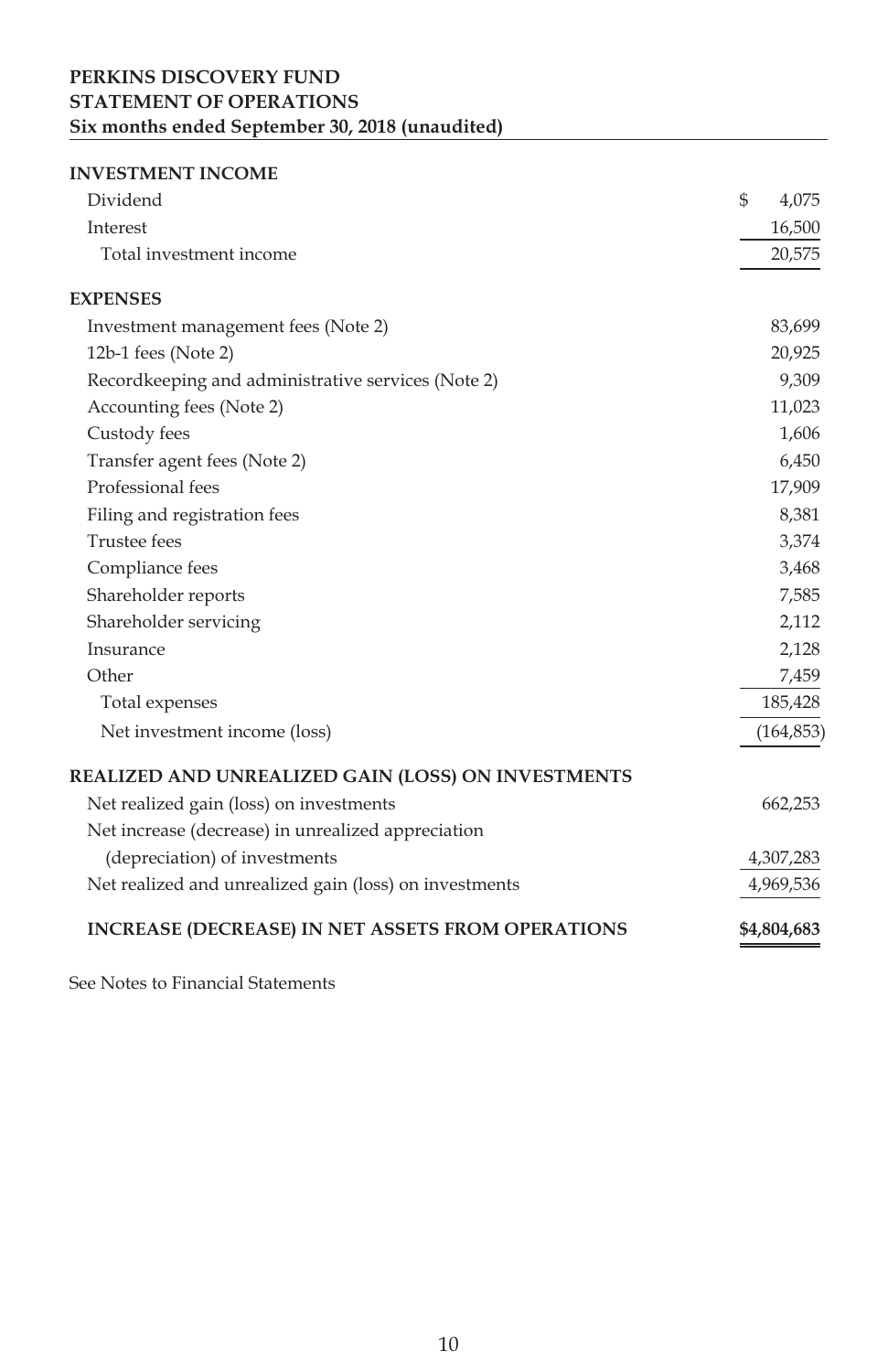## **PERKINS DISCOVERY FUND STATEMENT OF OPERATIONS Six months ended September 30, 2018 (unaudited)**

#### **INVESTMENT INCOME**

| Dividend                                                 | \$<br>4,075 |
|----------------------------------------------------------|-------------|
| Interest                                                 | 16,500      |
| Total investment income                                  | 20,575      |
| <b>EXPENSES</b>                                          |             |
| Investment management fees (Note 2)                      | 83,699      |
| 12b-1 fees (Note 2)                                      | 20,925      |
| Recordkeeping and administrative services (Note 2)       | 9,309       |
| Accounting fees (Note 2)                                 | 11,023      |
| Custody fees                                             | 1,606       |
| Transfer agent fees (Note 2)                             | 6,450       |
| Professional fees                                        | 17,909      |
| Filing and registration fees                             | 8,381       |
| <b>Trustee fees</b>                                      | 3,374       |
| Compliance fees                                          | 3,468       |
| Shareholder reports                                      | 7,585       |
| Shareholder servicing                                    | 2,112       |
| Insurance                                                | 2,128       |
| Other                                                    | 7,459       |
| Total expenses                                           | 185,428     |
| Net investment income (loss)                             | (164, 853)  |
| REALIZED AND UNREALIZED GAIN (LOSS) ON INVESTMENTS       |             |
| Net realized gain (loss) on investments                  | 662,253     |
| Net increase (decrease) in unrealized appreciation       |             |
| (depreciation) of investments                            | 4,307,283   |
| Net realized and unrealized gain (loss) on investments   | 4,969,536   |
| <b>INCREASE (DECREASE) IN NET ASSETS FROM OPERATIONS</b> | \$4,804,683 |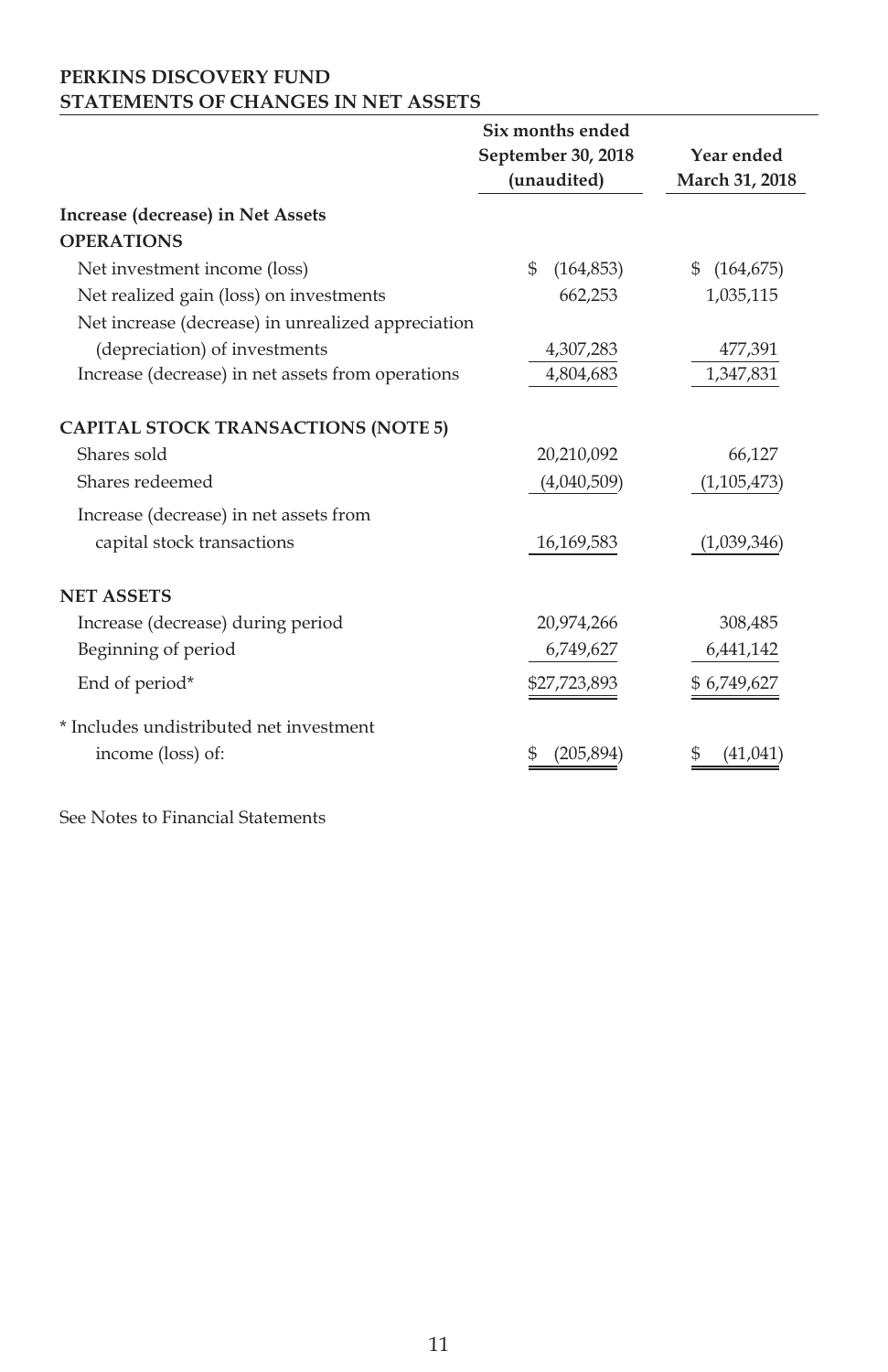### **PERKINS DISCOVERY FUND STATEMENTS OF CHANGES IN NET ASSETS**

|                                                    | Six months ended   |                |
|----------------------------------------------------|--------------------|----------------|
|                                                    | September 30, 2018 | Year ended     |
|                                                    | (unaudited)        | March 31, 2018 |
| Increase (decrease) in Net Assets                  |                    |                |
| <b>OPERATIONS</b>                                  |                    |                |
| Net investment income (loss)                       | \$<br>(164, 853)   | \$(164, 675)   |
| Net realized gain (loss) on investments            | 662,253            | 1,035,115      |
| Net increase (decrease) in unrealized appreciation |                    |                |
| (depreciation) of investments                      | 4,307,283          | 477,391        |
| Increase (decrease) in net assets from operations  | 4,804,683          | 1,347,831      |
|                                                    |                    |                |
| <b>CAPITAL STOCK TRANSACTIONS (NOTE 5)</b>         |                    |                |
| Shares sold                                        | 20,210,092         | 66,127         |
| Shares redeemed                                    | (4,040,509)        | (1,105,473)    |
| Increase (decrease) in net assets from             |                    |                |
| capital stock transactions                         | 16,169,583         | (1,039,346)    |
|                                                    |                    |                |
| <b>NET ASSETS</b>                                  |                    |                |
| Increase (decrease) during period                  | 20,974,266         | 308,485        |
| Beginning of period                                | 6,749,627          | 6,441,142      |
| End of period*                                     | \$27,723,893       | \$6,749,627    |
| * Includes undistributed net investment            |                    |                |
| income (loss) of:                                  | (205, 894)<br>Ж    | (41,041        |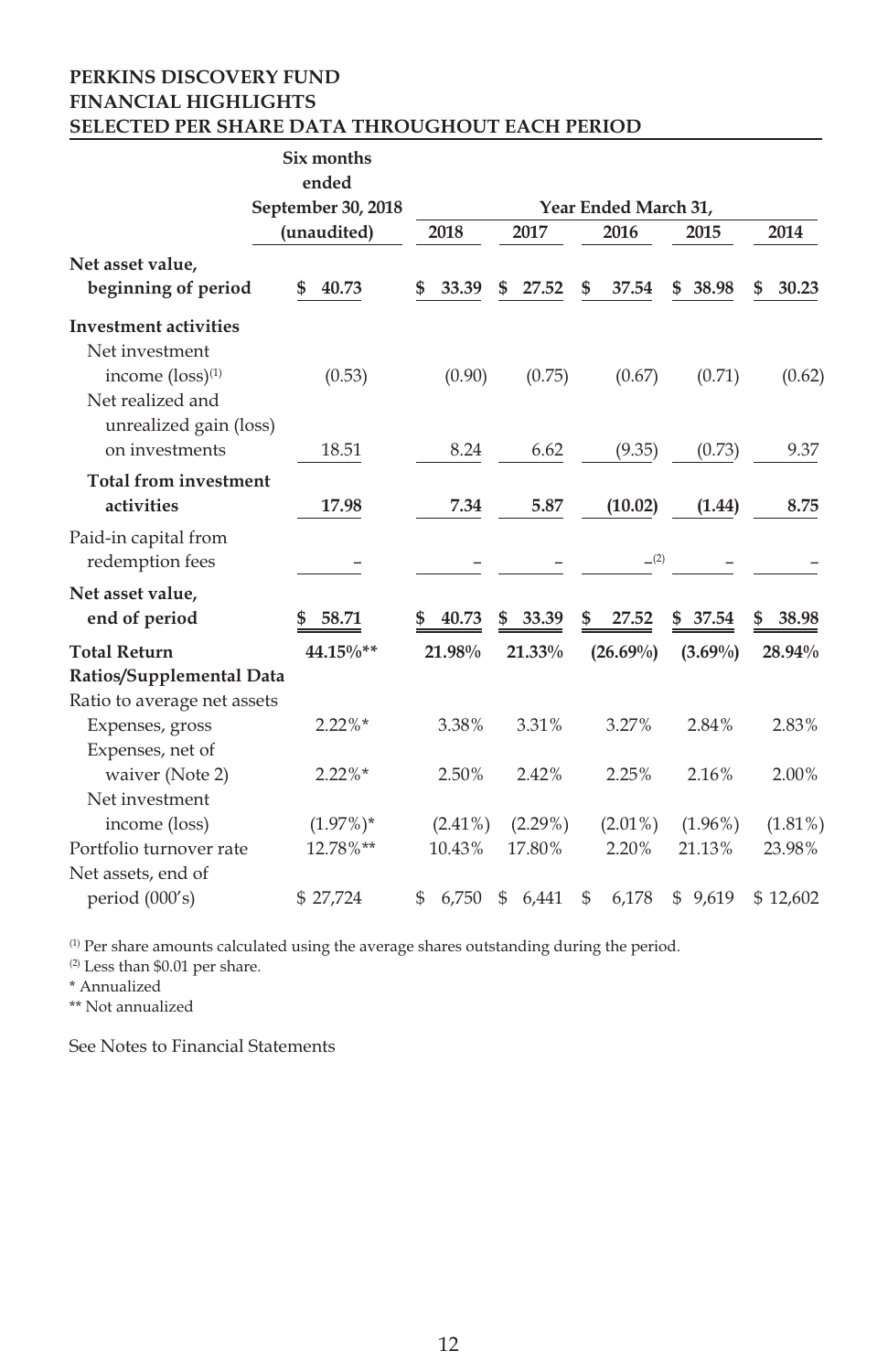#### **PERKINS DISCOVERY FUND FINANCIAL HIGHLIGHTS SELECTED PER SHARE DATA THROUGHOUT EACH PERIOD**

|                                                                                | Six months         |             |             |                      |            |             |
|--------------------------------------------------------------------------------|--------------------|-------------|-------------|----------------------|------------|-------------|
|                                                                                | ended              |             |             |                      |            |             |
|                                                                                | September 30, 2018 |             |             | Year Ended March 31, |            |             |
|                                                                                | (unaudited)        | 2018        | 2017        | 2016                 | 2015       | 2014        |
| Net asset value,<br>beginning of period                                        | 40.73<br>\$        | \$<br>33.39 | 27.52<br>\$ | \$<br>37.54          | \$38.98    | \$<br>30.23 |
| <b>Investment activities</b><br>Net investment<br>income (loss) <sup>(1)</sup> | (0.53)             | (0.90)      | (0.75)      | (0.67)               | (0.71)     | (0.62)      |
| Net realized and<br>unrealized gain (loss)<br>on investments                   |                    |             |             |                      |            |             |
|                                                                                | 18.51              | 8.24        | 6.62        | (9.35)               | (0.73)     | 9.37        |
| <b>Total from investment</b><br>activities                                     | 17.98              | 7.34        | 5.87        | (10.02)              | (1.44)     | 8.75        |
| Paid-in capital from<br>redemption fees                                        |                    |             |             | (2)                  |            |             |
| Net asset value,                                                               |                    |             |             |                      |            |             |
| end of period                                                                  | 58.71              | 40.73       | 33.39<br>\$ | 27.52<br>\$          | 37.54<br>S | 38.98<br>\$ |
| <b>Total Return</b>                                                            | 44.15%**           | 21.98%      | 21.33%      | $(26.69\%)$          | $(3.69\%)$ | 28.94%      |
| Ratios/Supplemental Data                                                       |                    |             |             |                      |            |             |
| Ratio to average net assets                                                    |                    |             |             |                      |            |             |
| Expenses, gross                                                                | $2.22\%$ *         | 3.38%       | 3.31%       | 3.27%                | 2.84%      | 2.83%       |
| Expenses, net of                                                               |                    |             |             |                      |            |             |
| waiver (Note 2)                                                                | $2.22\%*$          | 2.50%       | 2.42%       | 2.25%                | 2.16%      | 2.00%       |
| Net investment                                                                 |                    |             |             |                      |            |             |
| income (loss)                                                                  | $(1.97\%)*$        | $(2.41\%)$  | $(2.29\%)$  | $(2.01\%)$           | $(1.96\%)$ | $(1.81\%)$  |
| Portfolio turnover rate                                                        | 12.78%**           | 10.43%      | 17.80%      | 2.20%                | 21.13%     | 23.98%      |
| Net assets, end of                                                             |                    |             |             |                      |            |             |
| period (000's)                                                                 | \$27,724           | 6,750<br>\$ | \$<br>6,441 | 6,178<br>\$          | \$9,619    | \$12,602    |

(1) Per share amounts calculated using the average shares outstanding during the period.

(2) Less than \$0.01 per share.

\* Annualized

\*\* Not annualized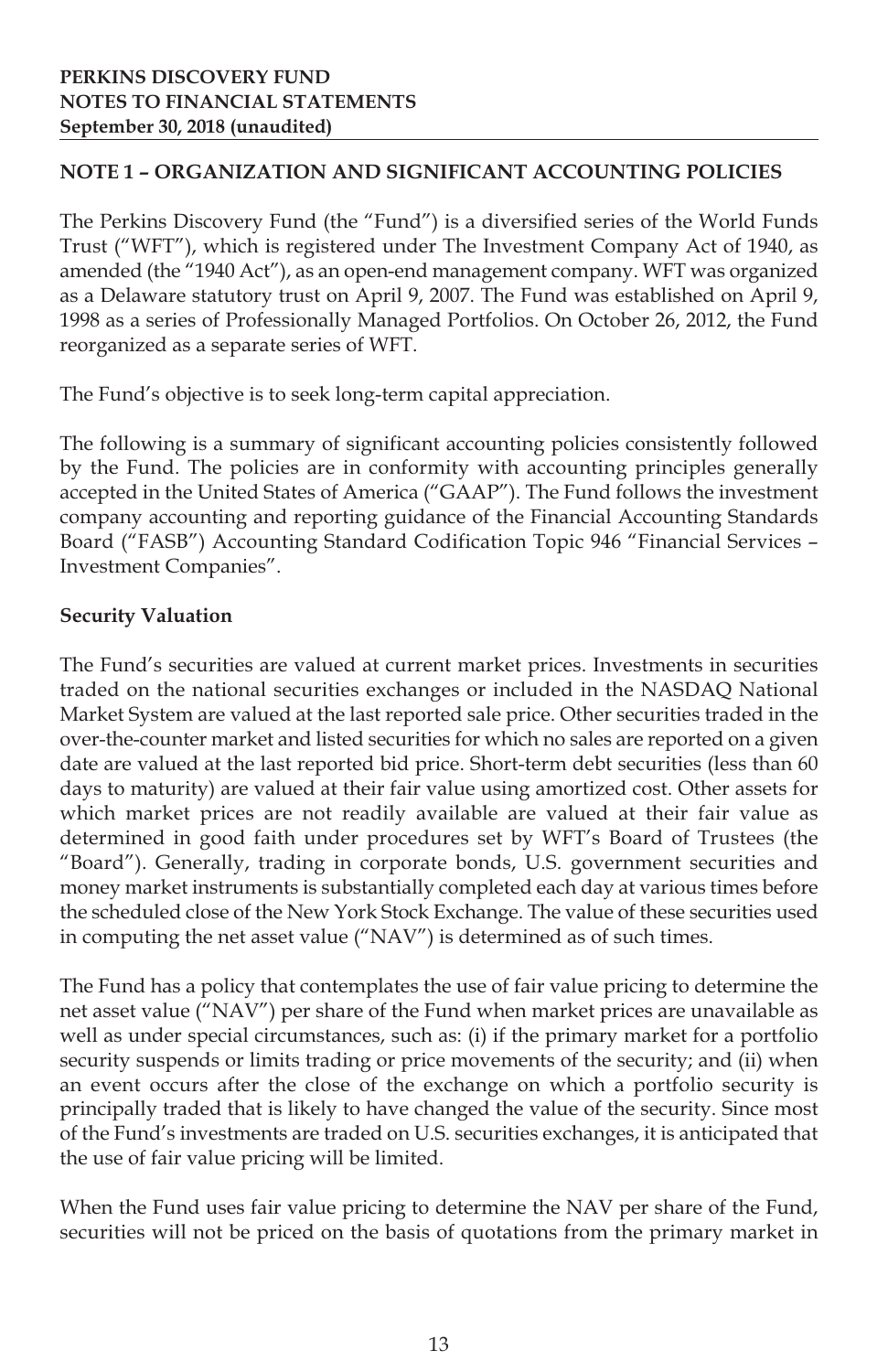## **NOTE 1 – ORGANIZATION AND SIGNIFICANT ACCOUNTING POLICIES**

The Perkins Discovery Fund (the "Fund") is a diversified series of the World Funds Trust ("WFT"), which is registered under The Investment Company Act of 1940, as amended (the "1940 Act"), as an open-end management company. WFT was organized as a Delaware statutory trust on April 9, 2007. The Fund was established on April 9, 1998 as a series of Professionally Managed Portfolios. On October 26, 2012, the Fund reorganized as a separate series of WFT.

The Fund's objective is to seek long-term capital appreciation.

The following is a summary of significant accounting policies consistently followed by the Fund. The policies are in conformity with accounting principles generally accepted in the United States of America ("GAAP"). The Fund follows the investment company accounting and reporting guidance of the Financial Accounting Standards Board ("FASB") Accounting Standard Codification Topic 946 "Financial Services – Investment Companies".

#### **Security Valuation**

The Fund's securities are valued at current market prices. Investments in securities traded on the national securities exchanges or included in the NASDAQ National Market System are valued at the last reported sale price. Other securities traded in the over-the-counter market and listed securities for which no sales are reported on a given date are valued at the last reported bid price. Short-term debt securities (less than 60 days to maturity) are valued at their fair value using amortized cost. Other assets for which market prices are not readily available are valued at their fair value as determined in good faith under procedures set by WFT's Board of Trustees (the "Board"). Generally, trading in corporate bonds, U.S. government securities and money market instruments is substantially completed each day at various times before the scheduled close of the New York Stock Exchange. The value of these securities used in computing the net asset value ("NAV") is determined as of such times.

The Fund has a policy that contemplates the use of fair value pricing to determine the net asset value ("NAV") per share of the Fund when market prices are unavailable as well as under special circumstances, such as: (i) if the primary market for a portfolio security suspends or limits trading or price movements of the security; and (ii) when an event occurs after the close of the exchange on which a portfolio security is principally traded that is likely to have changed the value of the security. Since most of the Fund's investments are traded on U.S. securities exchanges, it is anticipated that the use of fair value pricing will be limited.

When the Fund uses fair value pricing to determine the NAV per share of the Fund, securities will not be priced on the basis of quotations from the primary market in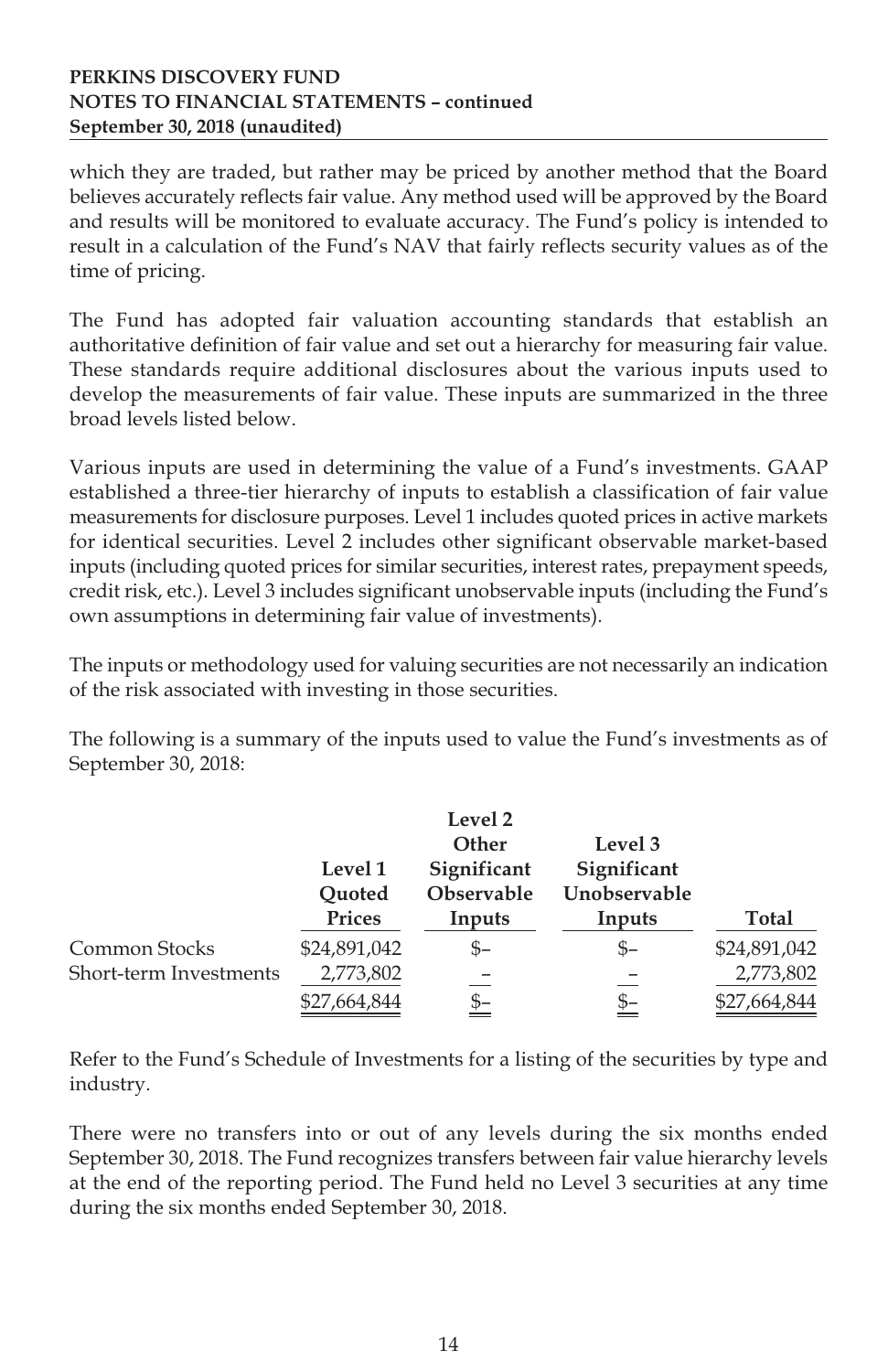#### **PERKINS DISCOVERY FUND NOTES TO FINANCIAL STATEMENTS – continued September 30, 2018 (unaudited)**

which they are traded, but rather may be priced by another method that the Board believes accurately reflects fair value. Any method used will be approved by the Board and results will be monitored to evaluate accuracy. The Fund's policy is intended to result in a calculation of the Fund's NAV that fairly reflects security values as of the time of pricing.

The Fund has adopted fair valuation accounting standards that establish an authoritative definition of fair value and set out a hierarchy for measuring fair value. These standards require additional disclosures about the various inputs used to develop the measurements of fair value. These inputs are summarized in the three broad levels listed below.

Various inputs are used in determining the value of a Fund's investments. GAAP established a three-tier hierarchy of inputs to establish a classification of fair value measurements for disclosure purposes. Level 1 includes quoted prices in active markets for identical securities. Level 2 includes other significant observable market-based inputs (including quoted prices for similar securities, interest rates, prepayment speeds, credit risk, etc.). Level 3 includes significant unobservable inputs (including the Fund's own assumptions in determining fair value of investments).

The inputs or methodology used for valuing securities are not necessarily an indication of the risk associated with investing in those securities.

The following is a summary of the inputs used to value the Fund's investments as of September 30, 2018:

|                        |              | Level 2     |              |              |
|------------------------|--------------|-------------|--------------|--------------|
|                        |              | Other       | Level 3      |              |
|                        | Level 1      | Significant | Significant  |              |
|                        | Ouoted       | Observable  | Unobservable |              |
|                        | Prices       | Inputs      | Inputs       | Total        |
| Common Stocks          | \$24,891,042 | $S-$        | \$–          | \$24,891,042 |
| Short-term Investments | 2,773,802    |             |              | 2,773,802    |
|                        | \$27,664,844 | <u>\$-</u>  | \$–          | \$27,664,844 |

Refer to the Fund's Schedule of Investments for a listing of the securities by type and industry.

There were no transfers into or out of any levels during the six months ended September 30, 2018. The Fund recognizes transfers between fair value hierarchy levels at the end of the reporting period. The Fund held no Level 3 securities at any time during the six months ended September 30, 2018.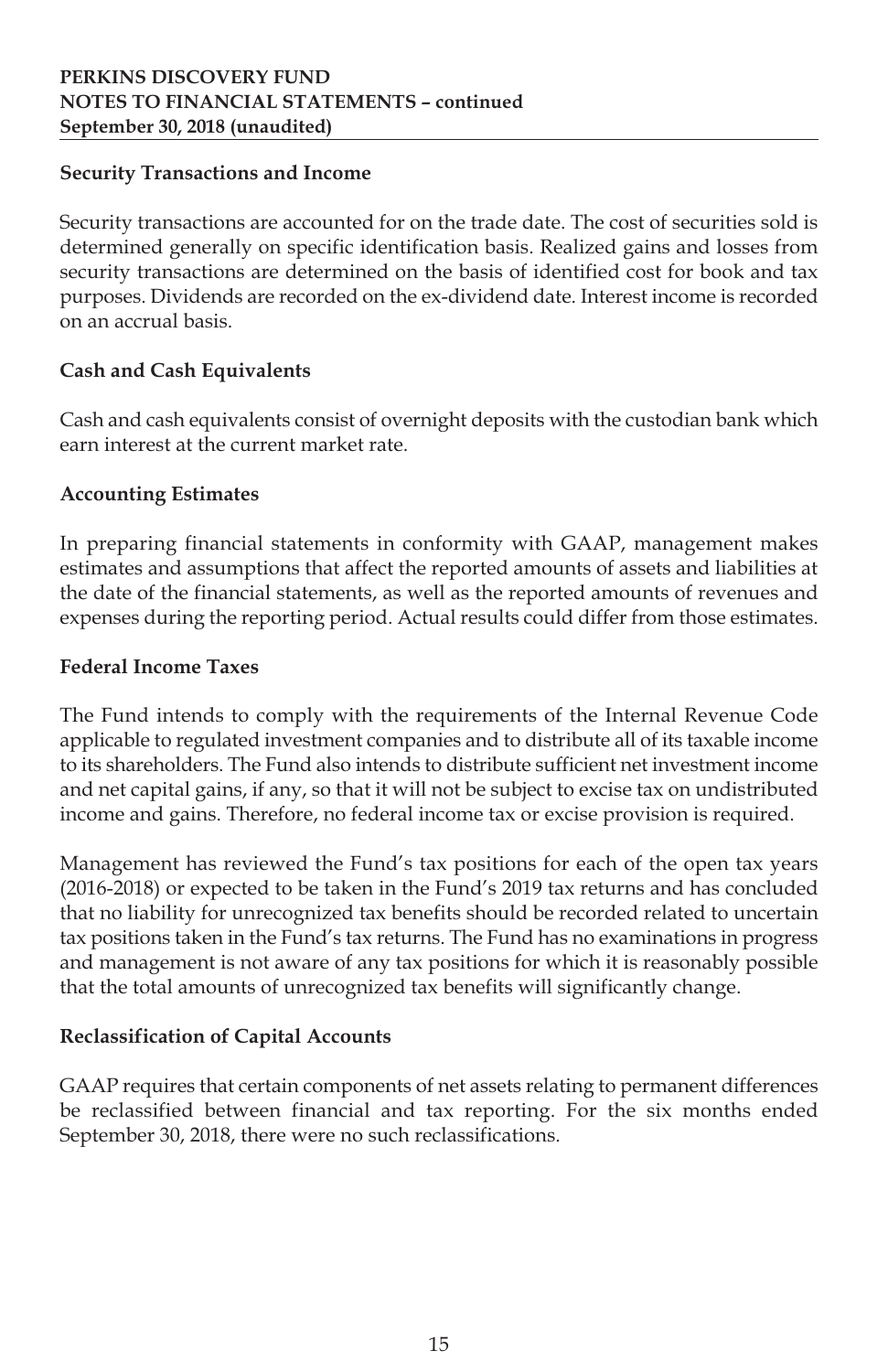## **Security Transactions and Income**

Security transactions are accounted for on the trade date. The cost of securities sold is determined generally on specific identification basis. Realized gains and losses from security transactions are determined on the basis of identified cost for book and tax purposes. Dividends are recorded on the ex-dividend date. Interest income is recorded on an accrual basis.

## **Cash and Cash Equivalents**

Cash and cash equivalents consist of overnight deposits with the custodian bank which earn interest at the current market rate.

## **Accounting Estimates**

In preparing financial statements in conformity with GAAP, management makes estimates and assumptions that affect the reported amounts of assets and liabilities at the date of the financial statements, as well as the reported amounts of revenues and expenses during the reporting period. Actual results could differ from those estimates.

## **Federal Income Taxes**

The Fund intends to comply with the requirements of the Internal Revenue Code applicable to regulated investment companies and to distribute all of its taxable income to its shareholders. The Fund also intends to distribute sufficient net investment income and net capital gains, if any, so that it will not be subject to excise tax on undistributed income and gains. Therefore, no federal income tax or excise provision is required.

Management has reviewed the Fund's tax positions for each of the open tax years (2016-2018) or expected to be taken in the Fund's 2019 tax returns and has concluded that no liability for unrecognized tax benefits should be recorded related to uncertain tax positions taken in the Fund's tax returns. The Fund has no examinations in progress and management is not aware of any tax positions for which it is reasonably possible that the total amounts of unrecognized tax benefits will significantly change.

## **Reclassification of Capital Accounts**

GAAP requires that certain components of net assets relating to permanent differences be reclassified between financial and tax reporting. For the six months ended September 30, 2018, there were no such reclassifications.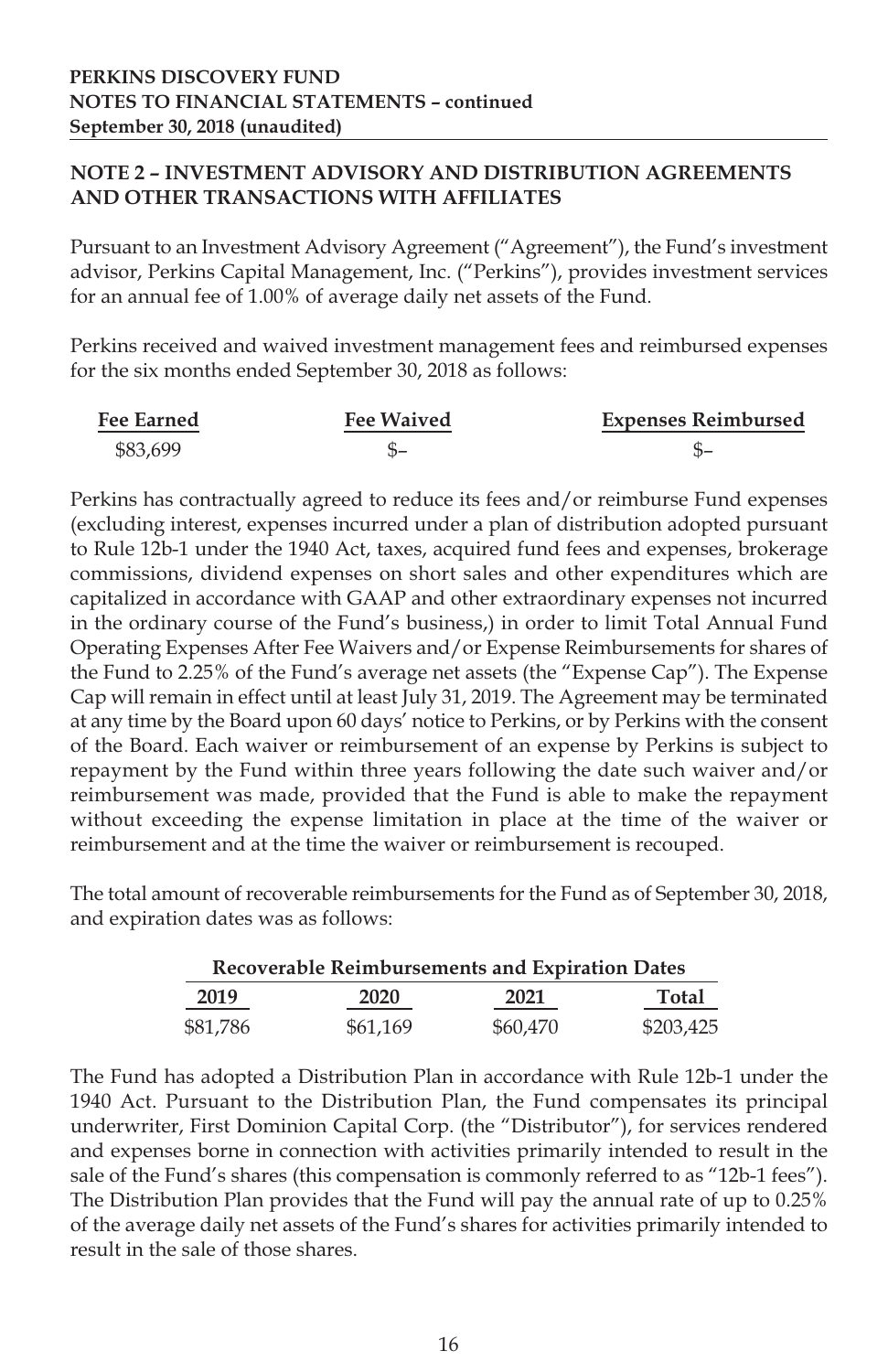## **NOTE 2 – INVESTMENT ADVISORY AND DISTRIBUTION AGREEMENTS AND OTHER TRANSACTIONS WITH AFFILIATES**

Pursuant to an Investment Advisory Agreement ("Agreement"), the Fund's investment advisor, Perkins Capital Management, Inc. ("Perkins"), provides investment services for an annual fee of 1.00% of average daily net assets of the Fund.

Perkins received and waived investment management fees and reimbursed expenses for the six months ended September 30, 2018 as follows:

| <b>Fee Earned</b> | <b>Fee Waived</b> | <b>Expenses Reimbursed</b> |
|-------------------|-------------------|----------------------------|
| \$83,699          |                   |                            |

Perkins has contractually agreed to reduce its fees and/or reimburse Fund expenses (excluding interest, expenses incurred under a plan of distribution adopted pursuant to Rule 12b-1 under the 1940 Act, taxes, acquired fund fees and expenses, brokerage commissions, dividend expenses on short sales and other expenditures which are capitalized in accordance with GAAP and other extraordinary expenses not incurred in the ordinary course of the Fund's business,) in order to limit Total Annual Fund Operating Expenses After Fee Waivers and/or Expense Reimbursements for shares of the Fund to 2.25% of the Fund's average net assets (the "Expense Cap"). The Expense Cap will remain in effect until at least July 31, 2019. The Agreement may be terminated at any time by the Board upon 60 days' notice to Perkins, or by Perkins with the consent of the Board. Each waiver or reimbursement of an expense by Perkins is subject to repayment by the Fund within three years following the date such waiver and/or reimbursement was made, provided that the Fund is able to make the repayment without exceeding the expense limitation in place at the time of the waiver or reimbursement and at the time the waiver or reimbursement is recouped.

The total amount of recoverable reimbursements for the Fund as of September 30, 2018, and expiration dates was as follows:

| Recoverable Reimbursements and Expiration Dates |          |          |           |  |
|-------------------------------------------------|----------|----------|-----------|--|
| 2019                                            | 2020     | 2021     | Total     |  |
| \$81,786                                        | \$61.169 | \$60,470 | \$203,425 |  |

The Fund has adopted a Distribution Plan in accordance with Rule 12b-1 under the 1940 Act. Pursuant to the Distribution Plan, the Fund compensates its principal underwriter, First Dominion Capital Corp. (the "Distributor"), for services rendered and expenses borne in connection with activities primarily intended to result in the sale of the Fund's shares (this compensation is commonly referred to as "12b-1 fees"). The Distribution Plan provides that the Fund will pay the annual rate of up to 0.25% of the average daily net assets of the Fund's shares for activities primarily intended to result in the sale of those shares.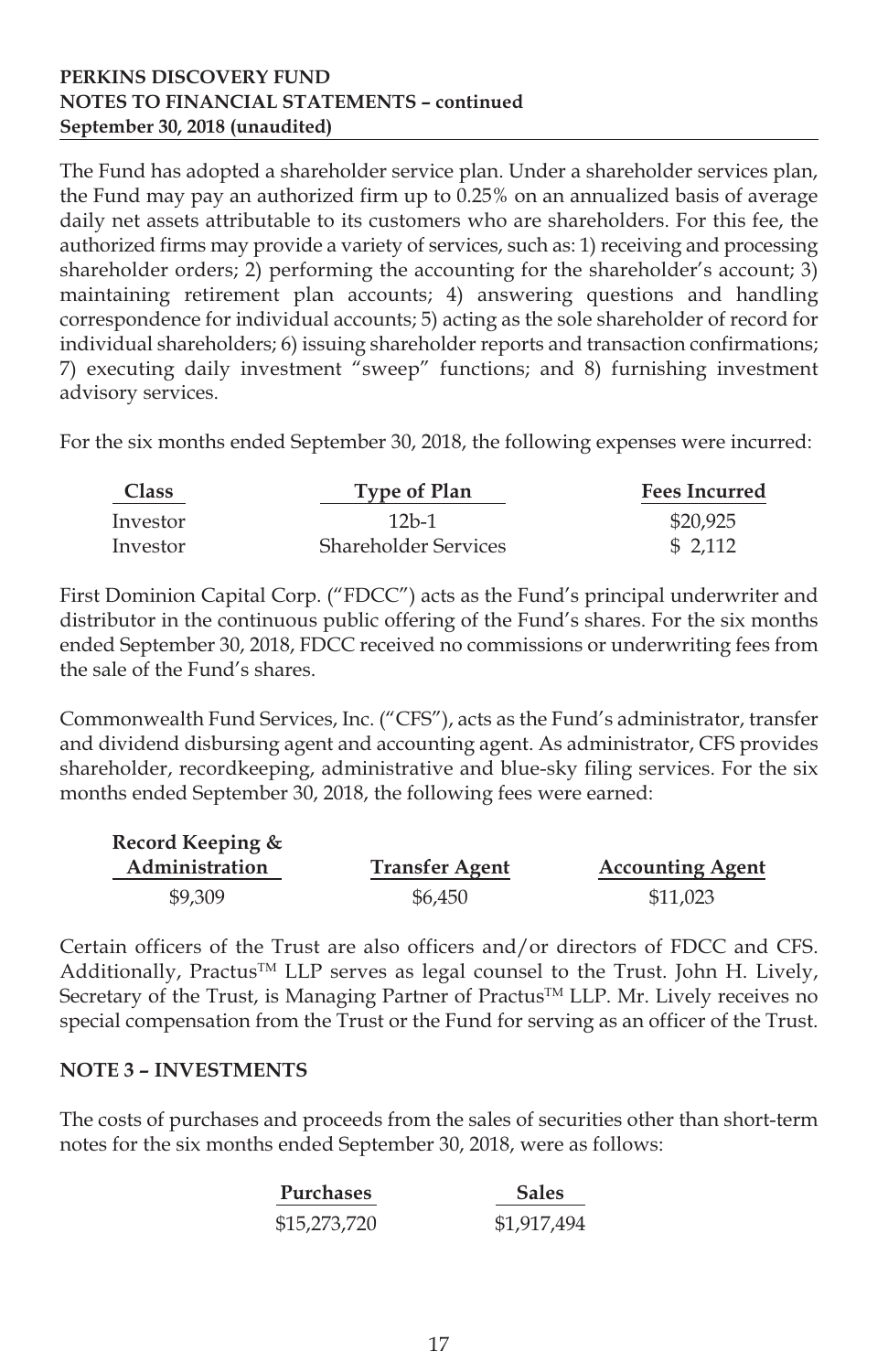### **PERKINS DISCOVERY FUND NOTES TO FINANCIAL STATEMENTS – continued September 30, 2018 (unaudited)**

The Fund has adopted a shareholder service plan. Under a shareholder services plan, the Fund may pay an authorized firm up to 0.25% on an annualized basis of average daily net assets attributable to its customers who are shareholders. For this fee, the authorized firms may provide a variety of services, such as: 1) receiving and processing shareholder orders; 2) performing the accounting for the shareholder's account; 3) maintaining retirement plan accounts; 4) answering questions and handling correspondence for individual accounts; 5) acting as the sole shareholder of record for individual shareholders; 6) issuing shareholder reports and transaction confirmations; 7) executing daily investment "sweep" functions; and 8) furnishing investment advisory services.

For the six months ended September 30, 2018, the following expenses were incurred:

| <b>Class</b> | <b>Type of Plan</b>  | <b>Fees Incurred</b> |  |
|--------------|----------------------|----------------------|--|
| Investor     | $12h-1$              | \$20,925             |  |
| Investor     | Shareholder Services | \$ 2.112             |  |

First Dominion Capital Corp. ("FDCC") acts as the Fund's principal underwriter and distributor in the continuous public offering of the Fund's shares. For the six months ended September 30, 2018, FDCC received no commissions or underwriting fees from the sale of the Fund's shares.

Commonwealth Fund Services, Inc. ("CFS"), acts as the Fund's administrator, transfer and dividend disbursing agent and accounting agent. As administrator, CFS provides shareholder, recordkeeping, administrative and blue-sky filing services. For the six months ended September 30, 2018, the following fees were earned:

| Record Keeping & |                       |                         |
|------------------|-----------------------|-------------------------|
| Administration   | <b>Transfer Agent</b> | <b>Accounting Agent</b> |
| \$9,309          | \$6.450               | \$11,023                |

Certain officers of the Trust are also officers and/or directors of FDCC and CFS. Additionally, Practus<sup>TM</sup> LLP serves as legal counsel to the Trust. John H. Lively, Secretary of the Trust, is Managing Partner of Practus™ LLP. Mr. Lively receives no special compensation from the Trust or the Fund for serving as an officer of the Trust.

#### **NOTE 3 – INVESTMENTS**

The costs of purchases and proceeds from the sales of securities other than short-term notes for the six months ended September 30, 2018, were as follows:

| <b>Purchases</b> | <b>Sales</b> |  |
|------------------|--------------|--|
| \$15,273,720     | \$1,917,494  |  |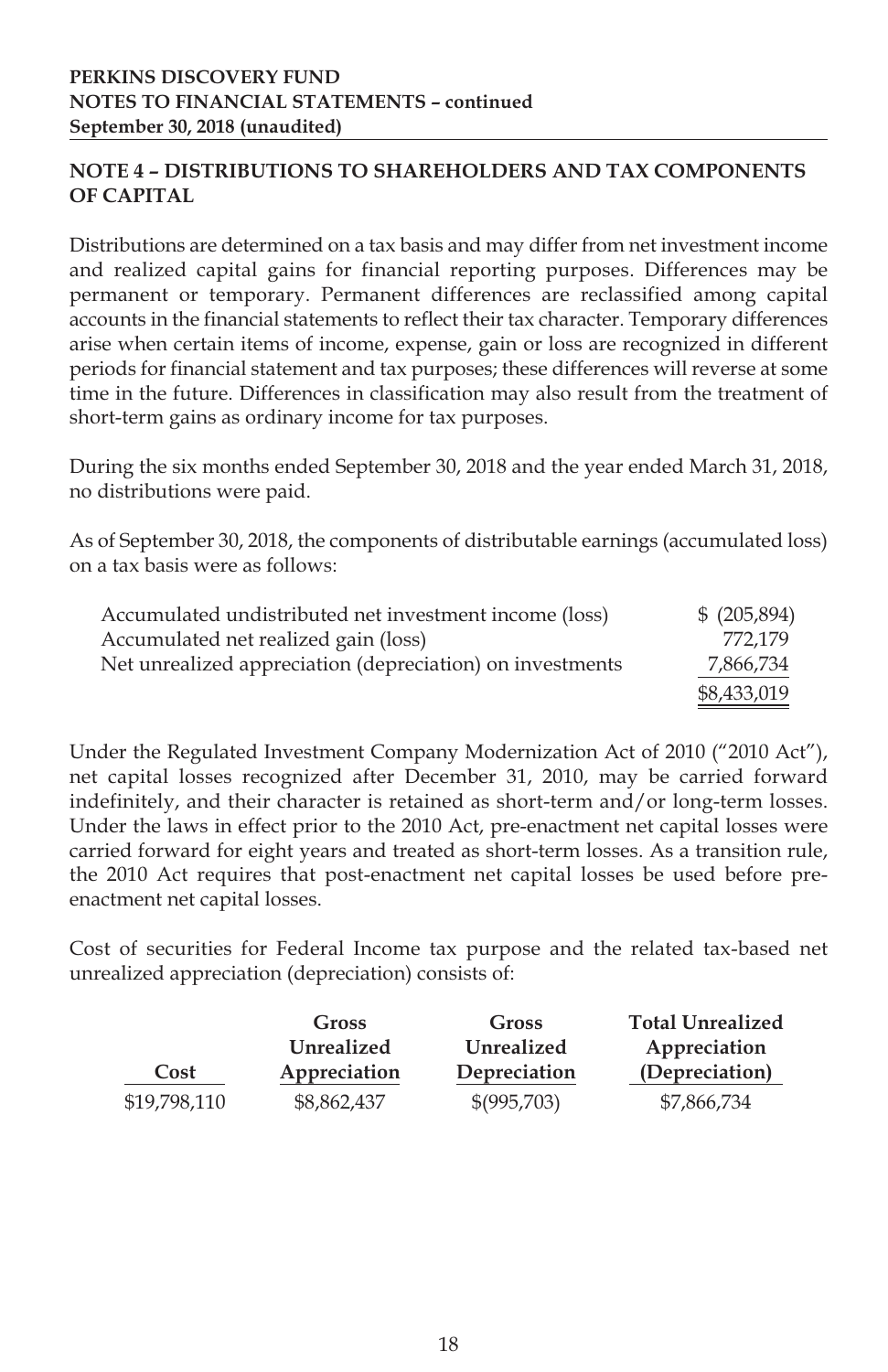## **NOTE 4 – DISTRIBUTIONS TO SHAREHOLDERS AND TAX COMPONENTS OF CAPITAL**

Distributions are determined on a tax basis and may differ from net investment income and realized capital gains for financial reporting purposes. Differences may be permanent or temporary. Permanent differences are reclassified among capital accounts in the financial statements to reflect their tax character. Temporary differences arise when certain items of income, expense, gain or loss are recognized in different periods for financial statement and tax purposes; these differences will reverse at some time in the future. Differences in classification may also result from the treatment of short-term gains as ordinary income for tax purposes.

During the six months ended September 30, 2018 and the year ended March 31, 2018, no distributions were paid.

As of September 30, 2018, the components of distributable earnings (accumulated loss) on a tax basis were as follows:

| Accumulated undistributed net investment income (loss)    | \$ (205,894) |
|-----------------------------------------------------------|--------------|
| Accumulated net realized gain (loss)                      | 772.179      |
| Net unrealized appreciation (depreciation) on investments | 7,866,734    |
|                                                           | \$8,433,019  |

Under the Regulated Investment Company Modernization Act of 2010 ("2010 Act"), net capital losses recognized after December 31, 2010, may be carried forward indefinitely, and their character is retained as short-term and/or long-term losses. Under the laws in effect prior to the 2010 Act, pre-enactment net capital losses were carried forward for eight years and treated as short-term losses. As a transition rule, the 2010 Act requires that post-enactment net capital losses be used before preenactment net capital losses.

Cost of securities for Federal Income tax purpose and the related tax-based net unrealized appreciation (depreciation) consists of:

|              | Gross        | Gross                  | <b>Total Unrealized</b> |
|--------------|--------------|------------------------|-------------------------|
|              | Unrealized   | Unrealized             | Appreciation            |
| Cost         | Appreciation | Depreciation           | (Depreciation)          |
| \$19,798,110 | \$8,862,437  | $\frac{$(995,703)}{2}$ | \$7,866,734             |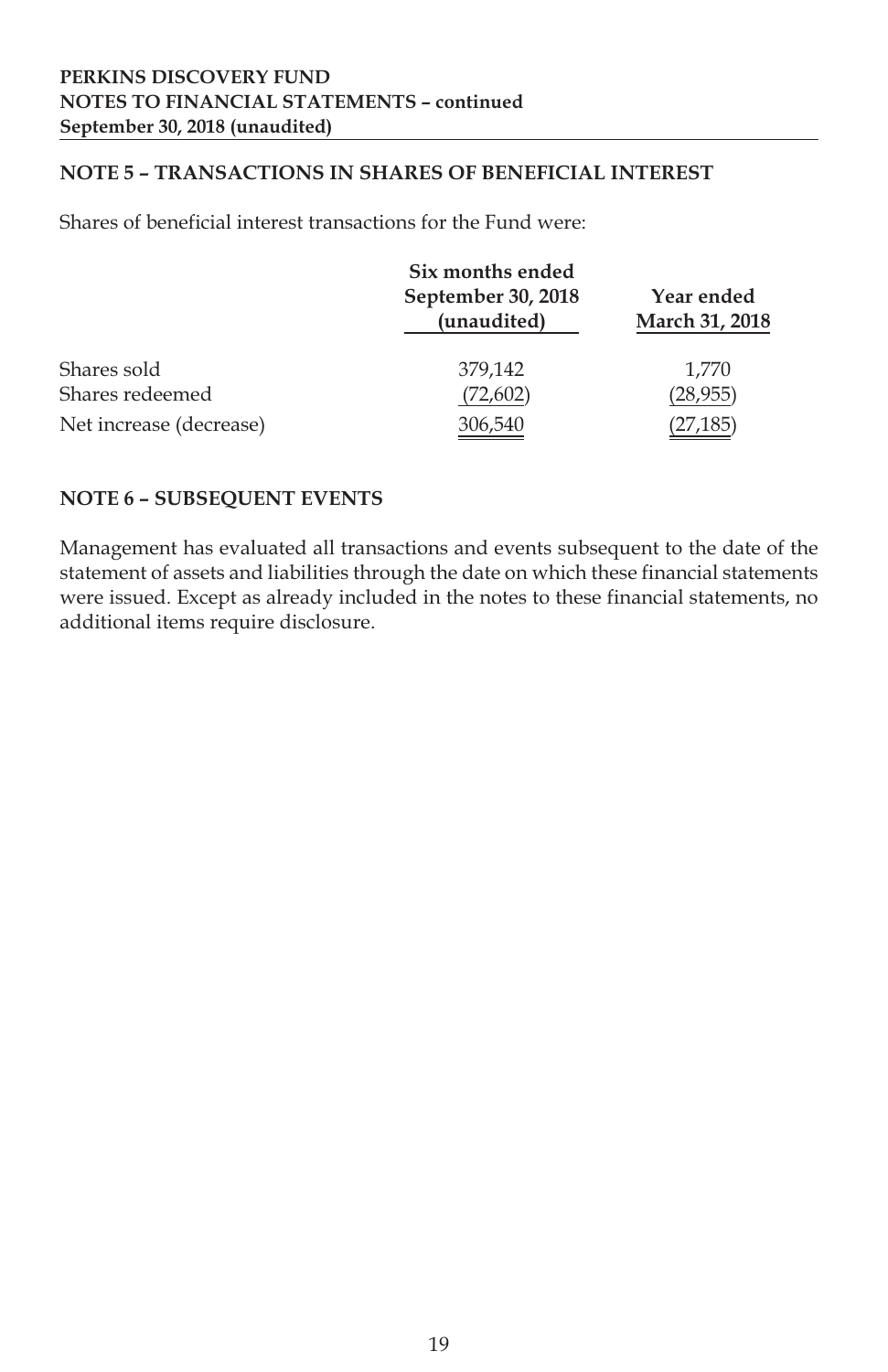#### **NOTE 5 – TRANSACTIONS IN SHARES OF BENEFICIAL INTEREST**

Shares of beneficial interest transactions for the Fund were:

|                         | Six months ended                  |                              |  |
|-------------------------|-----------------------------------|------------------------------|--|
|                         | September 30, 2018<br>(unaudited) | Year ended<br>March 31, 2018 |  |
| Shares sold             | 379.142                           | 1.770                        |  |
| Shares redeemed         | (72, 602)                         | (28,955)                     |  |
| Net increase (decrease) | 306,540                           | (27,185                      |  |

#### **NOTE 6 – SUBSEQUENT EVENTS**

Management has evaluated all transactions and events subsequent to the date of the statement of assets and liabilities through the date on which these financial statements were issued. Except as already included in the notes to these financial statements, no additional items require disclosure.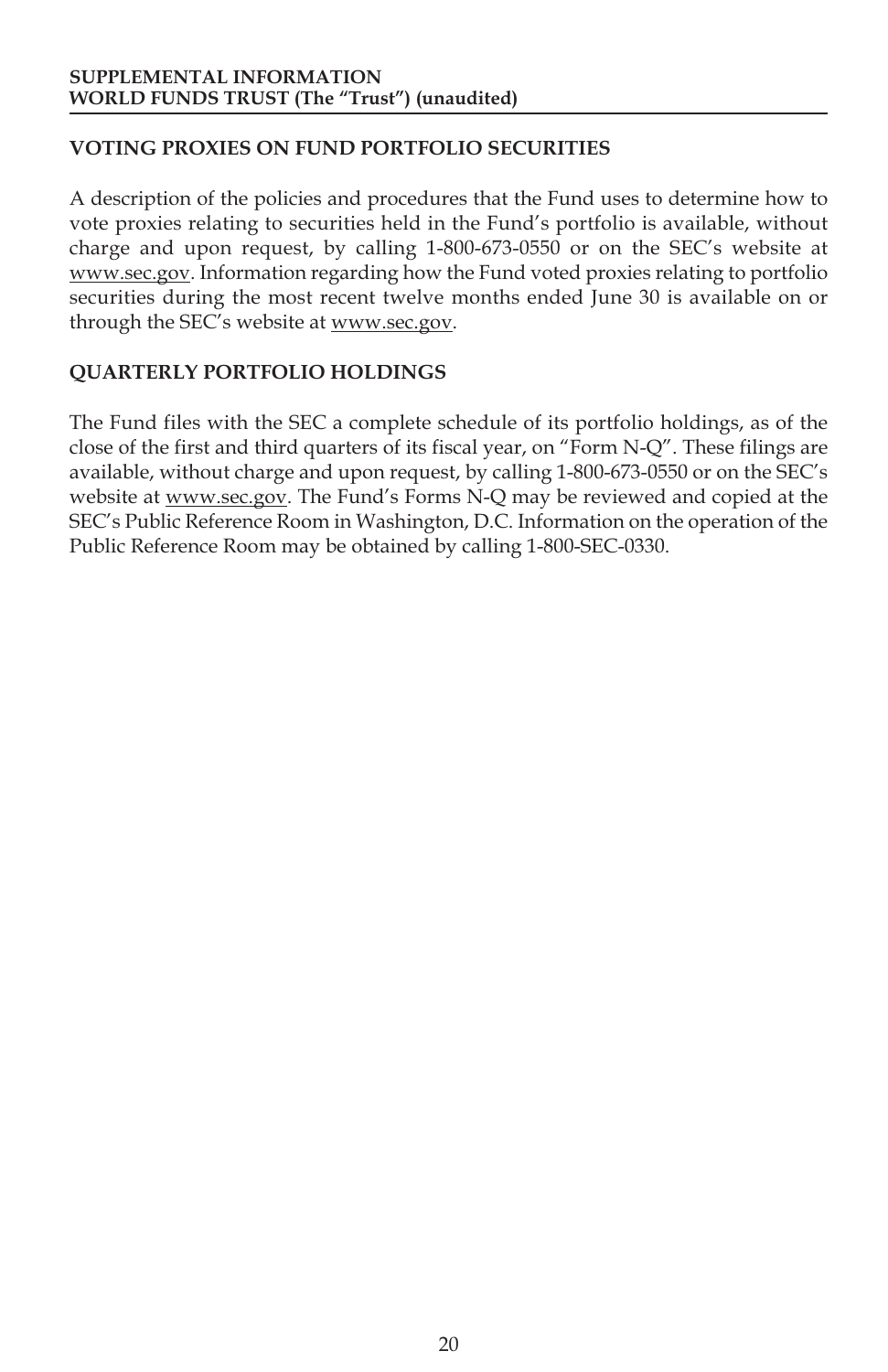## **VOTING PROXIES ON FUND PORTFOLIO SECURITIES**

A description of the policies and procedures that the Fund uses to determine how to vote proxies relating to securities held in the Fund's portfolio is available, without charge and upon request, by calling 1-800-673-0550 or on the SEC's website at www.sec.gov. Information regarding how the Fund voted proxies relating to portfolio securities during the most recent twelve months ended June 30 is available on or through the SEC's website at www.sec.gov.

## **QUARTERLY PORTFOLIO HOLDINGS**

The Fund files with the SEC a complete schedule of its portfolio holdings, as of the close of the first and third quarters of its fiscal year, on "Form N-Q". These filings are available, without charge and upon request, by calling 1-800-673-0550 or on the SEC's website at www.sec.gov. The Fund's Forms N-Q may be reviewed and copied at the SEC's Public Reference Room in Washington, D.C. Information on the operation of the Public Reference Room may be obtained by calling 1-800-SEC-0330.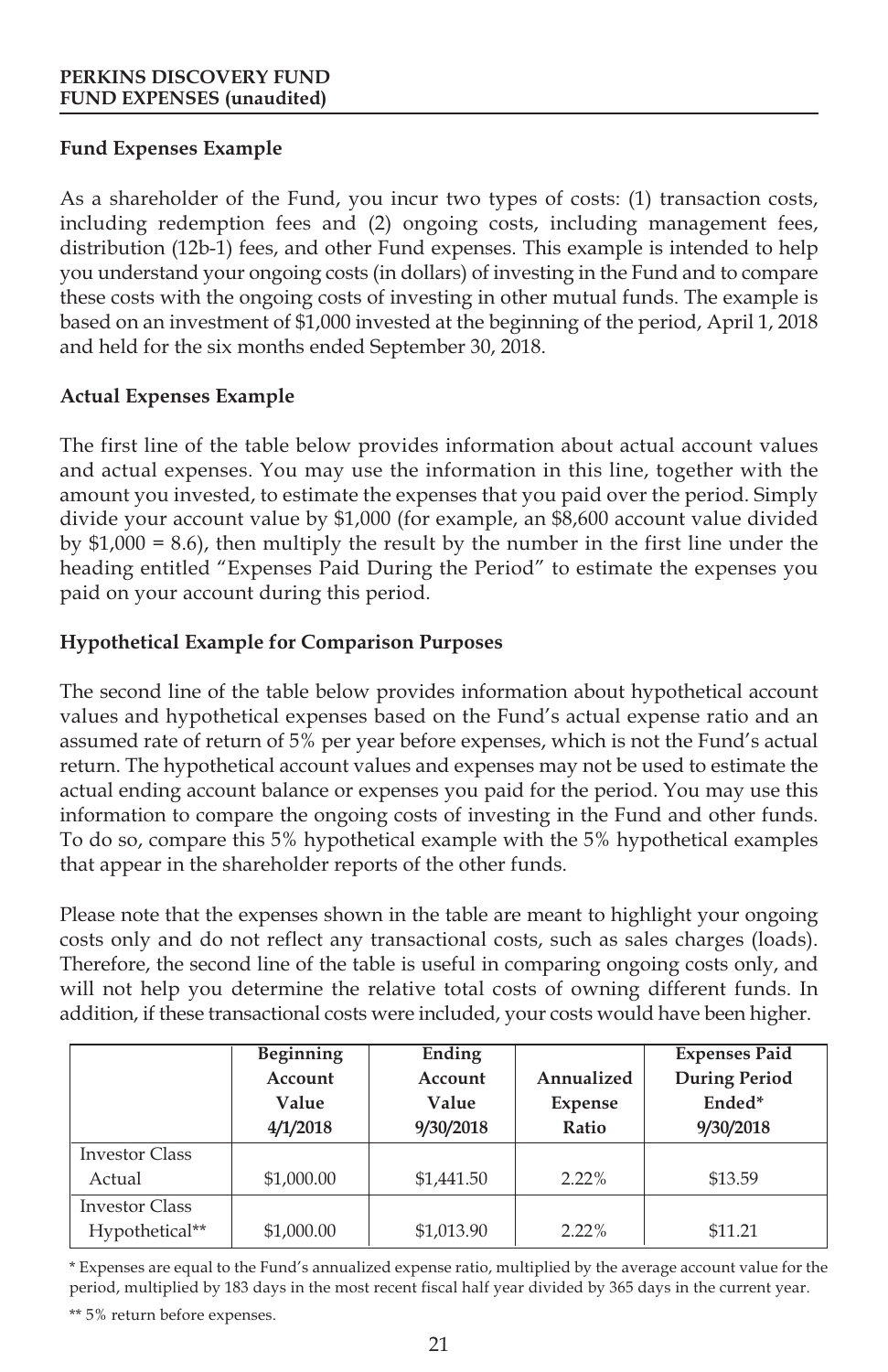## **Fund Expenses Example**

As a shareholder of the Fund, you incur two types of costs: (1) transaction costs, including redemption fees and (2) ongoing costs, including management fees, distribution (12b-1) fees, and other Fund expenses. This example is intended to help you understand your ongoing costs (in dollars) of investing in the Fund and to compare these costs with the ongoing costs of investing in other mutual funds. The example is based on an investment of \$1,000 invested at the beginning of the period, April 1, 2018 and held for the six months ended September 30, 2018.

## **Actual Expenses Example**

The first line of the table below provides information about actual account values and actual expenses. You may use the information in this line, together with the amount you invested, to estimate the expenses that you paid over the period. Simply divide your account value by \$1,000 (for example, an \$8,600 account value divided by  $$1,000 = 8.6$ , then multiply the result by the number in the first line under the heading entitled "Expenses Paid During the Period" to estimate the expenses you paid on your account during this period.

## **Hypothetical Example for Comparison Purposes**

The second line of the table below provides information about hypothetical account values and hypothetical expenses based on the Fund's actual expense ratio and an assumed rate of return of 5% per year before expenses, which is not the Fund's actual return. The hypothetical account values and expenses may not be used to estimate the actual ending account balance or expenses you paid for the period. You may use this information to compare the ongoing costs of investing in the Fund and other funds. To do so, compare this 5% hypothetical example with the 5% hypothetical examples that appear in the shareholder reports of the other funds.

Please note that the expenses shown in the table are meant to highlight your ongoing costs only and do not reflect any transactional costs, such as sales charges (loads). Therefore, the second line of the table is useful in comparing ongoing costs only, and will not help you determine the relative total costs of owning different funds. In addition, if these transactional costs were included, your costs would have been higher.

|                       | Beginning  | Ending     |            | <b>Expenses Paid</b> |
|-----------------------|------------|------------|------------|----------------------|
|                       | Account    | Account    | Annualized | <b>During Period</b> |
|                       | Value      | Value      | Expense    | Ended*               |
|                       | 4/1/2018   | 9/30/2018  | Ratio      | 9/30/2018            |
| <b>Investor Class</b> |            |            |            |                      |
| Actual                | \$1,000.00 | \$1,441.50 | $2.22\%$   | \$13.59              |
| <b>Investor Class</b> |            |            |            |                      |
| Hypothetical**        | \$1,000.00 | \$1,013.90 | $2.22\%$   | \$11.21              |

\* Expenses are equal to the Fund's annualized expense ratio, multiplied by the average account value for the period, multiplied by 183 days in the most recent fiscal half year divided by 365 days in the current year.

\*\* 5% return before expenses.